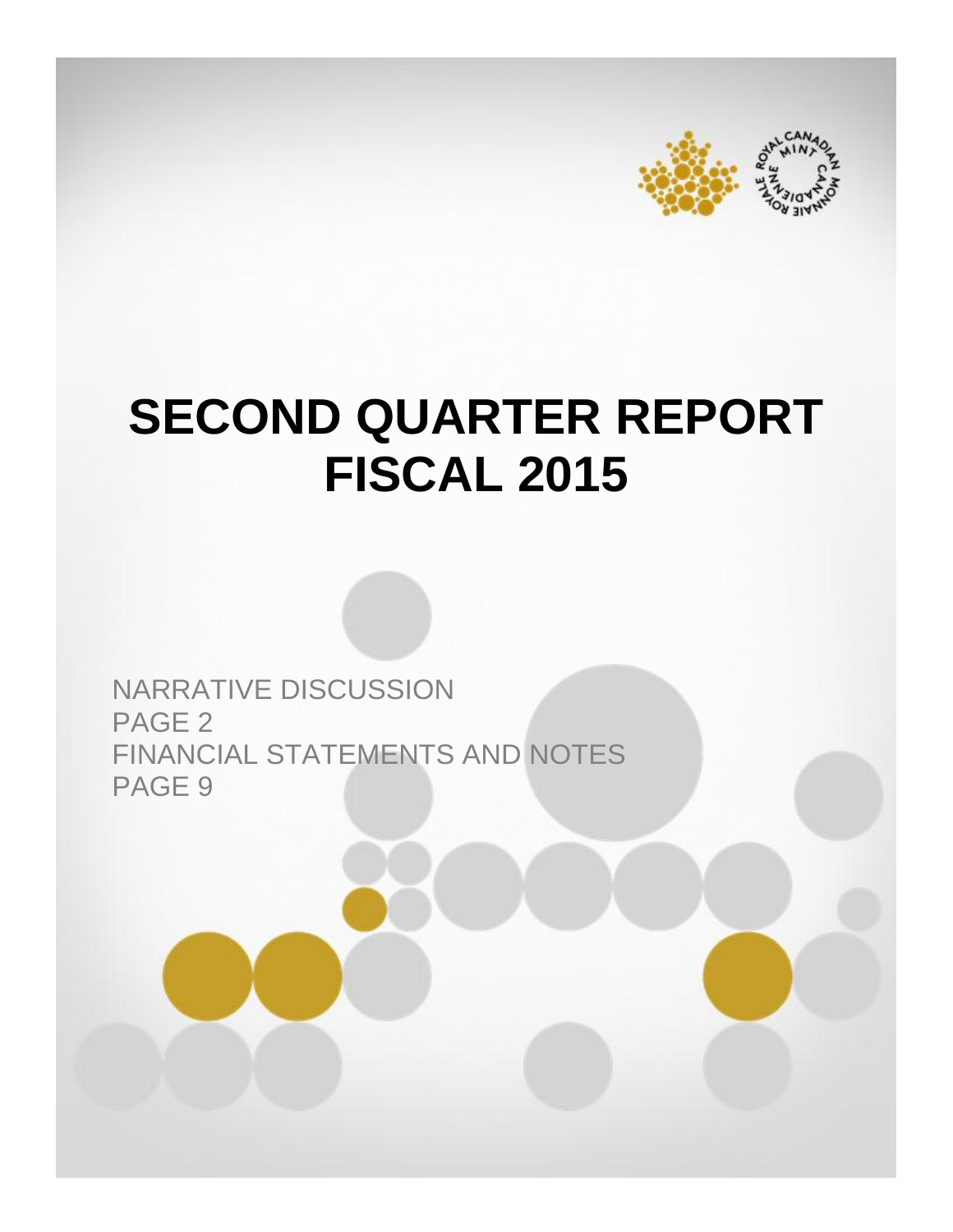



# **SECOND QUARTER REPORT FISCAL 2015**

NARRATIVE DISCUSSION PAGE 2 FINANCIAL STATEMENTS AND NOTES PAGE 9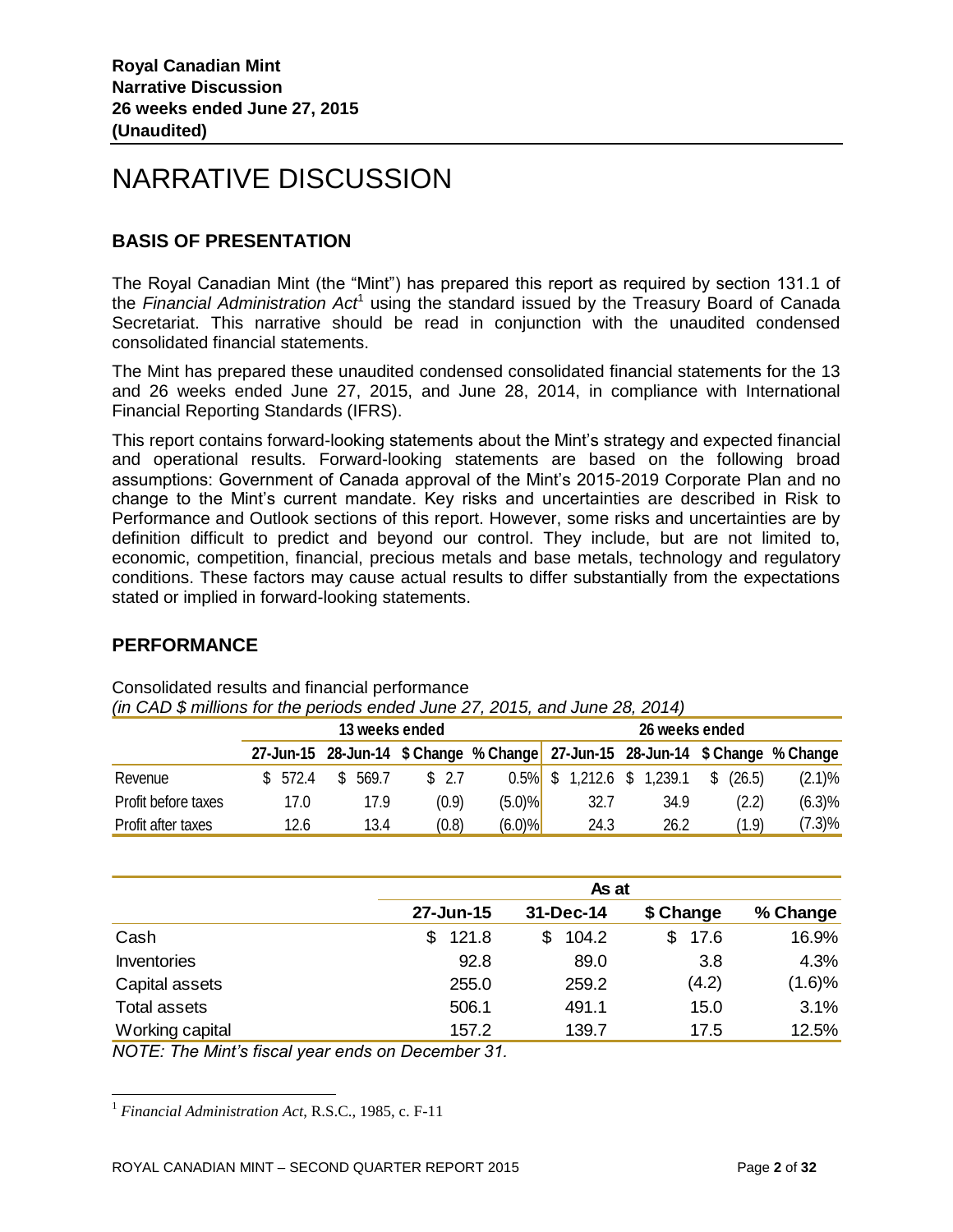# NARRATIVE DISCUSSION

# **BASIS OF PRESENTATION**

The Royal Canadian Mint (the "Mint") has prepared this report as required by section 131.1 of the Financial Administration Act<sup>1</sup> using the standard issued by the Treasury Board of Canada Secretariat. This narrative should be read in conjunction with the unaudited condensed consolidated financial statements.

The Mint has prepared these unaudited condensed consolidated financial statements for the 13 and 26 weeks ended June 27, 2015, and June 28, 2014, in compliance with International Financial Reporting Standards (IFRS).

This report contains forward-looking statements about the Mint's strategy and expected financial and operational results. Forward-looking statements are based on the following broad assumptions: Government of Canada approval of the Mint's 2015-2019 Corporate Plan and no change to the Mint's current mandate. Key risks and uncertainties are described in Risk to Performance and Outlook sections of this report. However, some risks and uncertainties are by definition difficult to predict and beyond our control. They include, but are not limited to, economic, competition, financial, precious metals and base metals, technology and regulatory conditions. These factors may cause actual results to differ substantially from the expectations stated or implied in forward-looking statements.

# **PERFORMANCE**

l

|                     | 13 weeks ended |     |       |  |       |                                                                               | 26 weeks ended |                    |  |      |    |        |           |
|---------------------|----------------|-----|-------|--|-------|-------------------------------------------------------------------------------|----------------|--------------------|--|------|----|--------|-----------|
|                     |                |     |       |  |       | 27-Jun-15 28-Jun-14 \$ Change % Change 27-Jun-15 28-Jun-14 \$ Change % Change |                |                    |  |      |    |        |           |
| Revenue             | \$572.4        | \$. | 569.7 |  | \$2.7 | 0.5%                                                                          | \$             | 1,212.6 \$ 1,239.1 |  |      | S. | (26.5) | (2.1)%    |
| Profit before taxes | 17.0           |     | 17.9  |  | (0.9) | (5.0)%                                                                        |                | 32.7               |  | 34.9 |    | (2.2)  | (6.3)%    |
| Profit after taxes  | 12.6           |     | 13.4  |  | (0.8) | (6.0)%                                                                        |                | 24.3               |  | 26.2 |    | (1.9)  | $(7.3)\%$ |

Consolidated results and financial performance *(in CAD \$ millions for the periods ended June 27, 2015, and June 28, 2014)*

|                     | As at       |             |           |          |  |  |  |  |
|---------------------|-------------|-------------|-----------|----------|--|--|--|--|
|                     | 27-Jun-15   | 31-Dec-14   | \$ Change | % Change |  |  |  |  |
| Cash                | 121.8<br>\$ | 104.2<br>\$ | 17.6      | 16.9%    |  |  |  |  |
| <b>Inventories</b>  | 92.8        | 89.0        | 3.8       | 4.3%     |  |  |  |  |
| Capital assets      | 255.0       | 259.2       | (4.2)     | (1.6)%   |  |  |  |  |
| <b>Total assets</b> | 506.1       | 491.1       | 15.0      | 3.1%     |  |  |  |  |
| Working capital     | 157.2       | 139.7       | 17.5      | 12.5%    |  |  |  |  |

*NOTE: The Mint's fiscal year ends on December 31.* 

<sup>1</sup> *Financial Administration Act*, R.S.C., 1985, c. F-11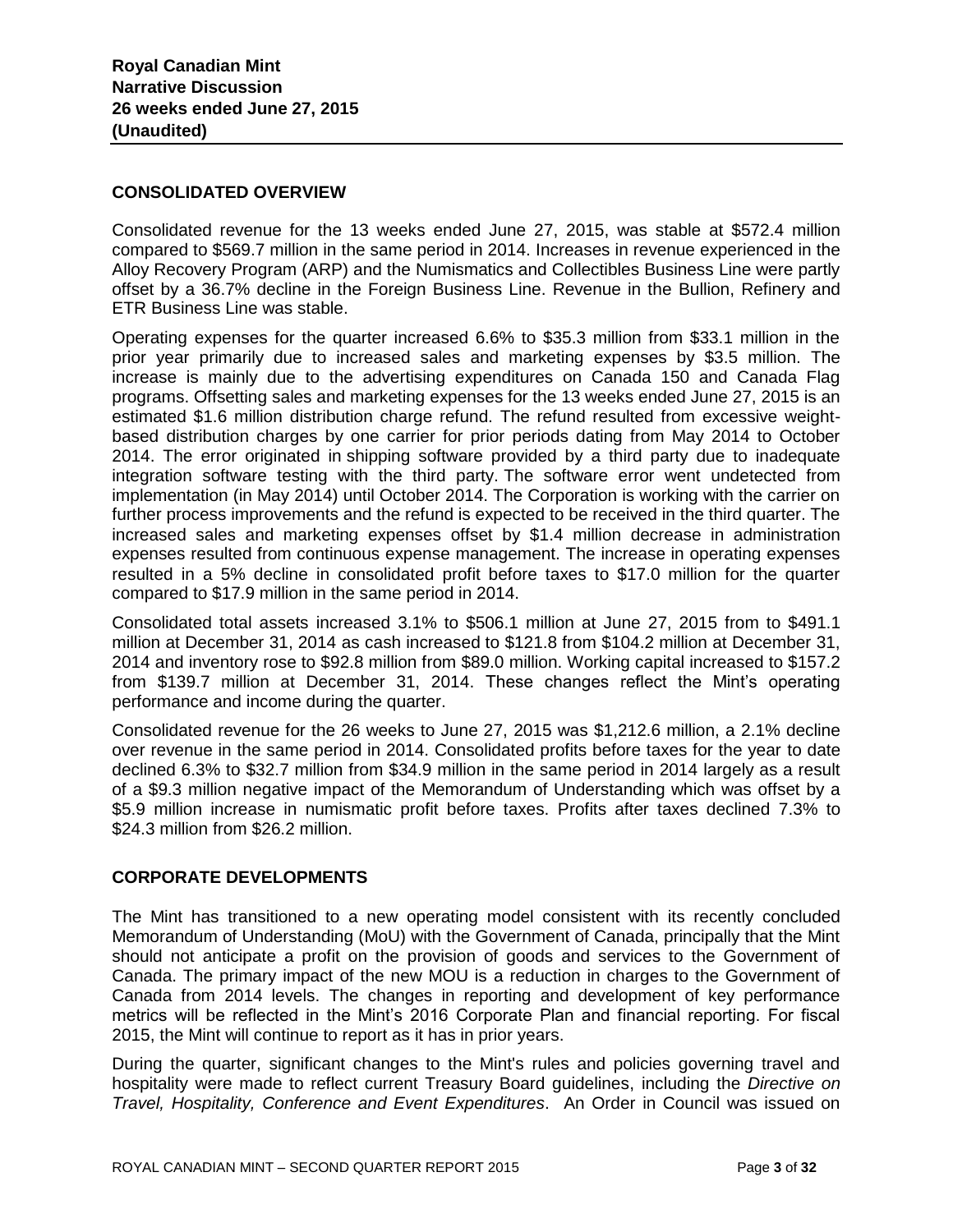#### **CONSOLIDATED OVERVIEW**

Consolidated revenue for the 13 weeks ended June 27, 2015, was stable at \$572.4 million compared to \$569.7 million in the same period in 2014. Increases in revenue experienced in the Alloy Recovery Program (ARP) and the Numismatics and Collectibles Business Line were partly offset by a 36.7% decline in the Foreign Business Line. Revenue in the Bullion, Refinery and ETR Business Line was stable.

Operating expenses for the quarter increased 6.6% to \$35.3 million from \$33.1 million in the prior year primarily due to increased sales and marketing expenses by \$3.5 million. The increase is mainly due to the advertising expenditures on Canada 150 and Canada Flag programs. Offsetting sales and marketing expenses for the 13 weeks ended June 27, 2015 is an estimated \$1.6 million distribution charge refund. The refund resulted from excessive weightbased distribution charges by one carrier for prior periods dating from May 2014 to October 2014. The error originated in shipping software provided by a third party due to inadequate integration software testing with the third party. The software error went undetected from implementation (in May 2014) until October 2014. The Corporation is working with the carrier on further process improvements and the refund is expected to be received in the third quarter. The increased sales and marketing expenses offset by \$1.4 million decrease in administration expenses resulted from continuous expense management. The increase in operating expenses resulted in a 5% decline in consolidated profit before taxes to \$17.0 million for the quarter compared to \$17.9 million in the same period in 2014.

Consolidated total assets increased 3.1% to \$506.1 million at June 27, 2015 from to \$491.1 million at December 31, 2014 as cash increased to \$121.8 from \$104.2 million at December 31, 2014 and inventory rose to \$92.8 million from \$89.0 million. Working capital increased to \$157.2 from \$139.7 million at December 31, 2014. These changes reflect the Mint's operating performance and income during the quarter.

Consolidated revenue for the 26 weeks to June 27, 2015 was \$1,212.6 million, a 2.1% decline over revenue in the same period in 2014. Consolidated profits before taxes for the year to date declined 6.3% to \$32.7 million from \$34.9 million in the same period in 2014 largely as a result of a \$9.3 million negative impact of the Memorandum of Understanding which was offset by a \$5.9 million increase in numismatic profit before taxes. Profits after taxes declined 7.3% to \$24.3 million from \$26.2 million.

## **CORPORATE DEVELOPMENTS**

The Mint has transitioned to a new operating model consistent with its recently concluded Memorandum of Understanding (MoU) with the Government of Canada, principally that the Mint should not anticipate a profit on the provision of goods and services to the Government of Canada. The primary impact of the new MOU is a reduction in charges to the Government of Canada from 2014 levels. The changes in reporting and development of key performance metrics will be reflected in the Mint's 2016 Corporate Plan and financial reporting. For fiscal 2015, the Mint will continue to report as it has in prior years.

During the quarter, significant changes to the Mint's rules and policies governing travel and hospitality were made to reflect current Treasury Board guidelines, including the *Directive on Travel, Hospitality, Conference and Event Expenditures*. An Order in Council was issued on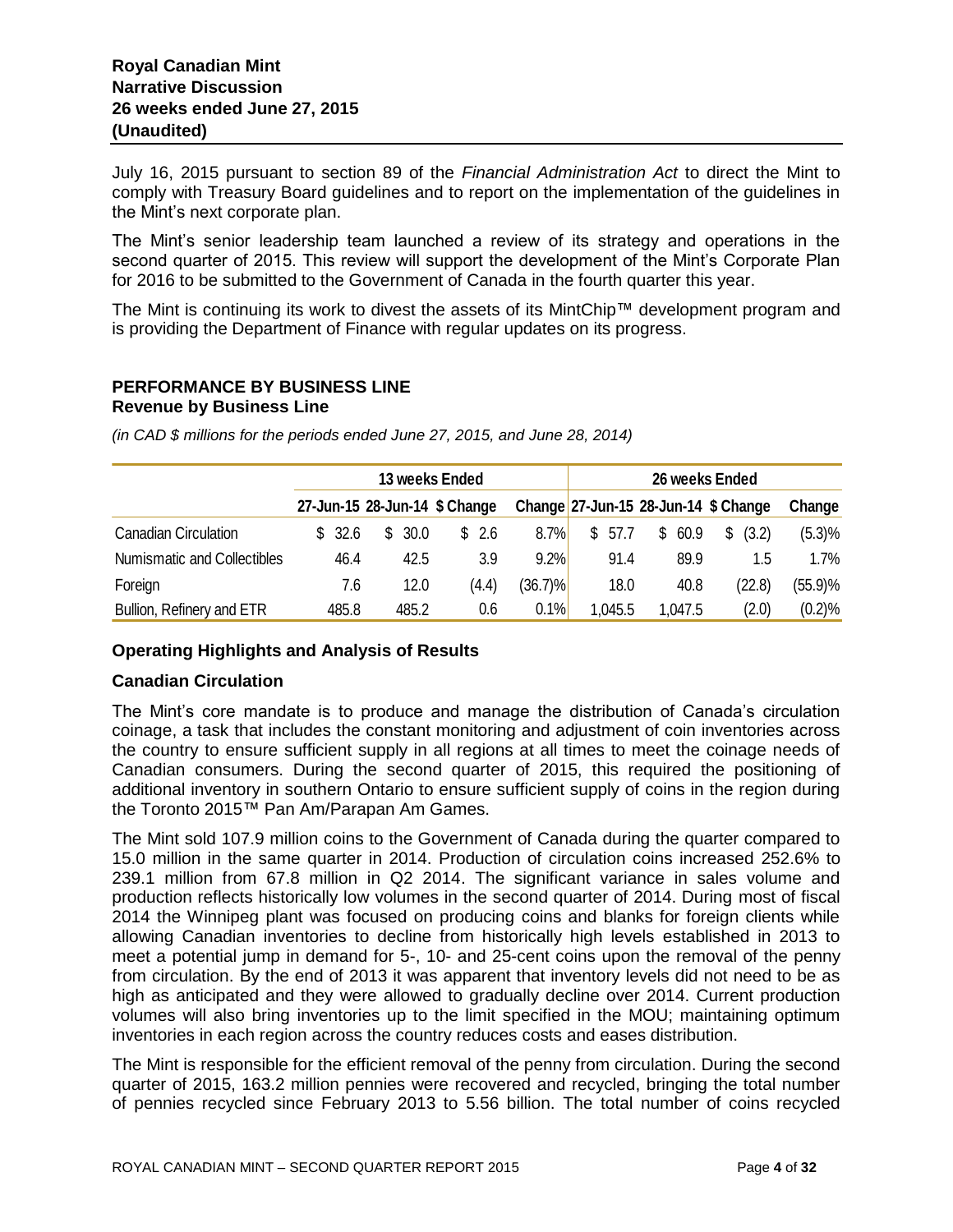July 16, 2015 pursuant to section 89 of the *Financial Administration Act* to direct the Mint to comply with Treasury Board guidelines and to report on the implementation of the guidelines in the Mint's next corporate plan.

The Mint's senior leadership team launched a review of its strategy and operations in the second quarter of 2015. This review will support the development of the Mint's Corporate Plan for 2016 to be submitted to the Government of Canada in the fourth quarter this year.

The Mint is continuing its work to divest the assets of its MintChip™ development program and is providing the Department of Finance with regular updates on its progress.

# **PERFORMANCE BY BUSINESS LINE**

**Revenue by Business Line** 

|                                    |        |        | 13 weeks Ended                |            | 26 weeks Ended |         |                                          |         |  |
|------------------------------------|--------|--------|-------------------------------|------------|----------------|---------|------------------------------------------|---------|--|
|                                    |        |        | 27-Jun-15 28-Jun-14 \$ Change |            |                |         | Change $27$ -Jun-15 28-Jun-14 $$$ Change | Change  |  |
| <b>Canadian Circulation</b>        | \$32.6 | \$30.0 | \$2.6                         | 8.7%       | \$<br>57.7     | \$60.9  | $\mathbb{S}$<br>(3.2)                    | (5.3)%  |  |
| <b>Numismatic and Collectibles</b> | 46.4   | 42.5   | 3.9                           | 9.2%       | 91.4           | 89.9    | 1.5                                      | $1.7\%$ |  |
| Foreign                            | 7.6    | 12.0   | (4.4)                         | $(36.7)\%$ | 18.0           | 40.8    | (22.8)                                   | (55.9)% |  |
| Bullion, Refinery and ETR          | 485.8  | 485.2  | 0.6                           | 0.1%       | 1,045.5        | 1,047.5 | (2.0)                                    | (0.2)%  |  |

*(in CAD \$ millions for the periods ended June 27, 2015, and June 28, 2014)*

# **Operating Highlights and Analysis of Results**

## **Canadian Circulation**

The Mint's core mandate is to produce and manage the distribution of Canada's circulation coinage, a task that includes the constant monitoring and adjustment of coin inventories across the country to ensure sufficient supply in all regions at all times to meet the coinage needs of Canadian consumers. During the second quarter of 2015, this required the positioning of additional inventory in southern Ontario to ensure sufficient supply of coins in the region during the Toronto 2015™ Pan Am/Parapan Am Games.

The Mint sold 107.9 million coins to the Government of Canada during the quarter compared to 15.0 million in the same quarter in 2014. Production of circulation coins increased 252.6% to 239.1 million from 67.8 million in Q2 2014. The significant variance in sales volume and production reflects historically low volumes in the second quarter of 2014. During most of fiscal 2014 the Winnipeg plant was focused on producing coins and blanks for foreign clients while allowing Canadian inventories to decline from historically high levels established in 2013 to meet a potential jump in demand for 5-, 10- and 25-cent coins upon the removal of the penny from circulation. By the end of 2013 it was apparent that inventory levels did not need to be as high as anticipated and they were allowed to gradually decline over 2014. Current production volumes will also bring inventories up to the limit specified in the MOU; maintaining optimum inventories in each region across the country reduces costs and eases distribution.

The Mint is responsible for the efficient removal of the penny from circulation. During the second quarter of 2015, 163.2 million pennies were recovered and recycled, bringing the total number of pennies recycled since February 2013 to 5.56 billion. The total number of coins recycled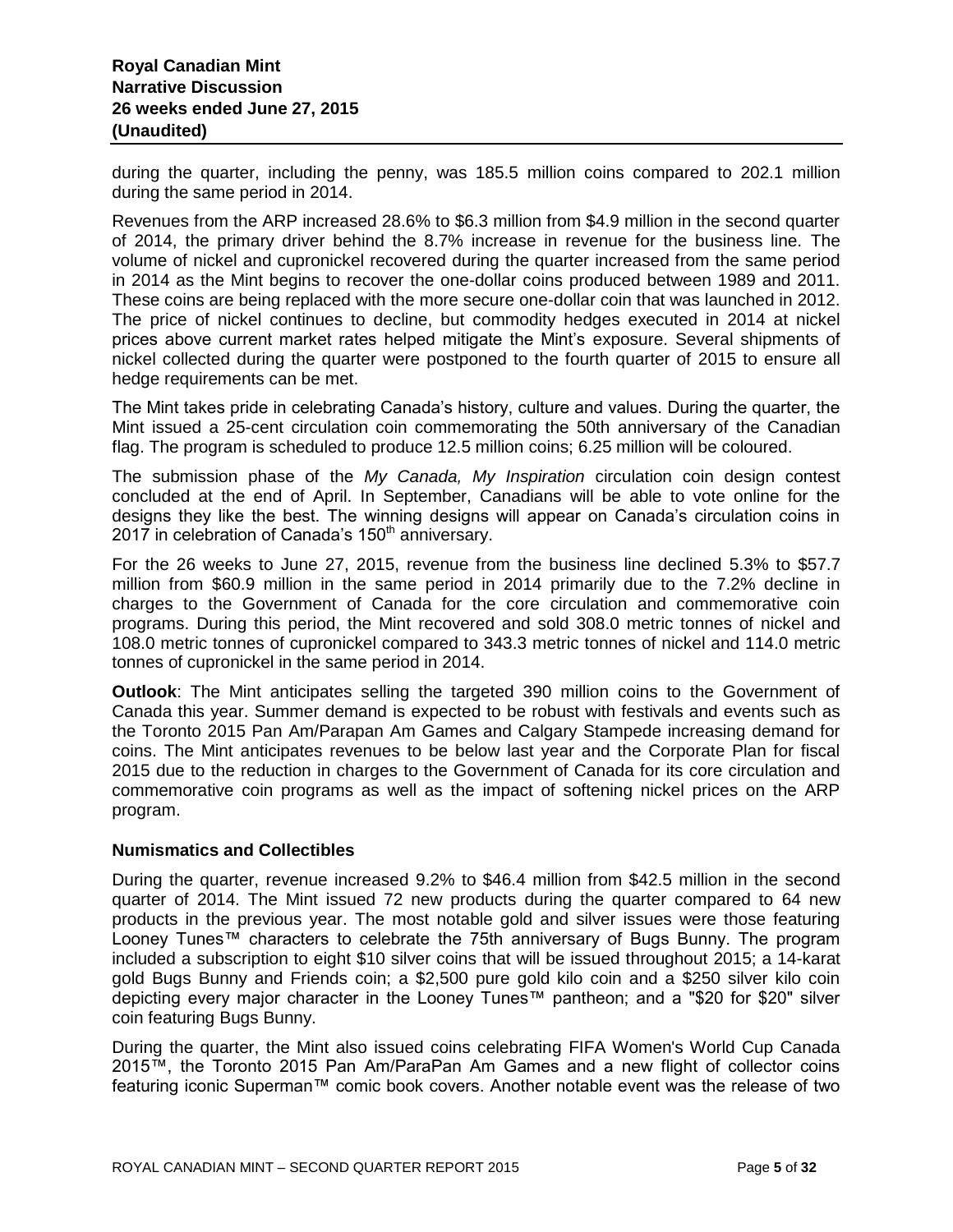during the quarter, including the penny, was 185.5 million coins compared to 202.1 million during the same period in 2014.

Revenues from the ARP increased 28.6% to \$6.3 million from \$4.9 million in the second quarter of 2014, the primary driver behind the 8.7% increase in revenue for the business line. The volume of nickel and cupronickel recovered during the quarter increased from the same period in 2014 as the Mint begins to recover the one-dollar coins produced between 1989 and 2011. These coins are being replaced with the more secure one-dollar coin that was launched in 2012. The price of nickel continues to decline, but commodity hedges executed in 2014 at nickel prices above current market rates helped mitigate the Mint's exposure. Several shipments of nickel collected during the quarter were postponed to the fourth quarter of 2015 to ensure all hedge requirements can be met.

The Mint takes pride in celebrating Canada's history, culture and values. During the quarter, the Mint issued a 25-cent circulation coin commemorating the 50th anniversary of the Canadian flag. The program is scheduled to produce 12.5 million coins; 6.25 million will be coloured.

The submission phase of the *My Canada, My Inspiration* circulation coin design contest concluded at the end of April. In September, Canadians will be able to vote online for the designs they like the best. The winning designs will appear on Canada's circulation coins in 2017 in celebration of Canada's  $150<sup>th</sup>$  anniversary.

For the 26 weeks to June 27, 2015, revenue from the business line declined 5.3% to \$57.7 million from \$60.9 million in the same period in 2014 primarily due to the 7.2% decline in charges to the Government of Canada for the core circulation and commemorative coin programs. During this period, the Mint recovered and sold 308.0 metric tonnes of nickel and 108.0 metric tonnes of cupronickel compared to 343.3 metric tonnes of nickel and 114.0 metric tonnes of cupronickel in the same period in 2014.

**Outlook**: The Mint anticipates selling the targeted 390 million coins to the Government of Canada this year. Summer demand is expected to be robust with festivals and events such as the Toronto 2015 Pan Am/Parapan Am Games and Calgary Stampede increasing demand for coins. The Mint anticipates revenues to be below last year and the Corporate Plan for fiscal 2015 due to the reduction in charges to the Government of Canada for its core circulation and commemorative coin programs as well as the impact of softening nickel prices on the ARP program.

#### **Numismatics and Collectibles**

During the quarter, revenue increased 9.2% to \$46.4 million from \$42.5 million in the second quarter of 2014. The Mint issued 72 new products during the quarter compared to 64 new products in the previous year. The most notable gold and silver issues were those featuring Looney Tunes™ characters to celebrate the 75th anniversary of Bugs Bunny. The program included a subscription to eight \$10 silver coins that will be issued throughout 2015; a 14-karat gold Bugs Bunny and Friends coin; a \$2,500 pure gold kilo coin and a \$250 silver kilo coin depicting every major character in the Looney Tunes™ pantheon; and a "\$20 for \$20" silver coin featuring Bugs Bunny.

During the quarter, the Mint also issued coins celebrating FIFA Women's World Cup Canada 2015™, the Toronto 2015 Pan Am/ParaPan Am Games and a new flight of collector coins featuring iconic Superman™ comic book covers. Another notable event was the release of two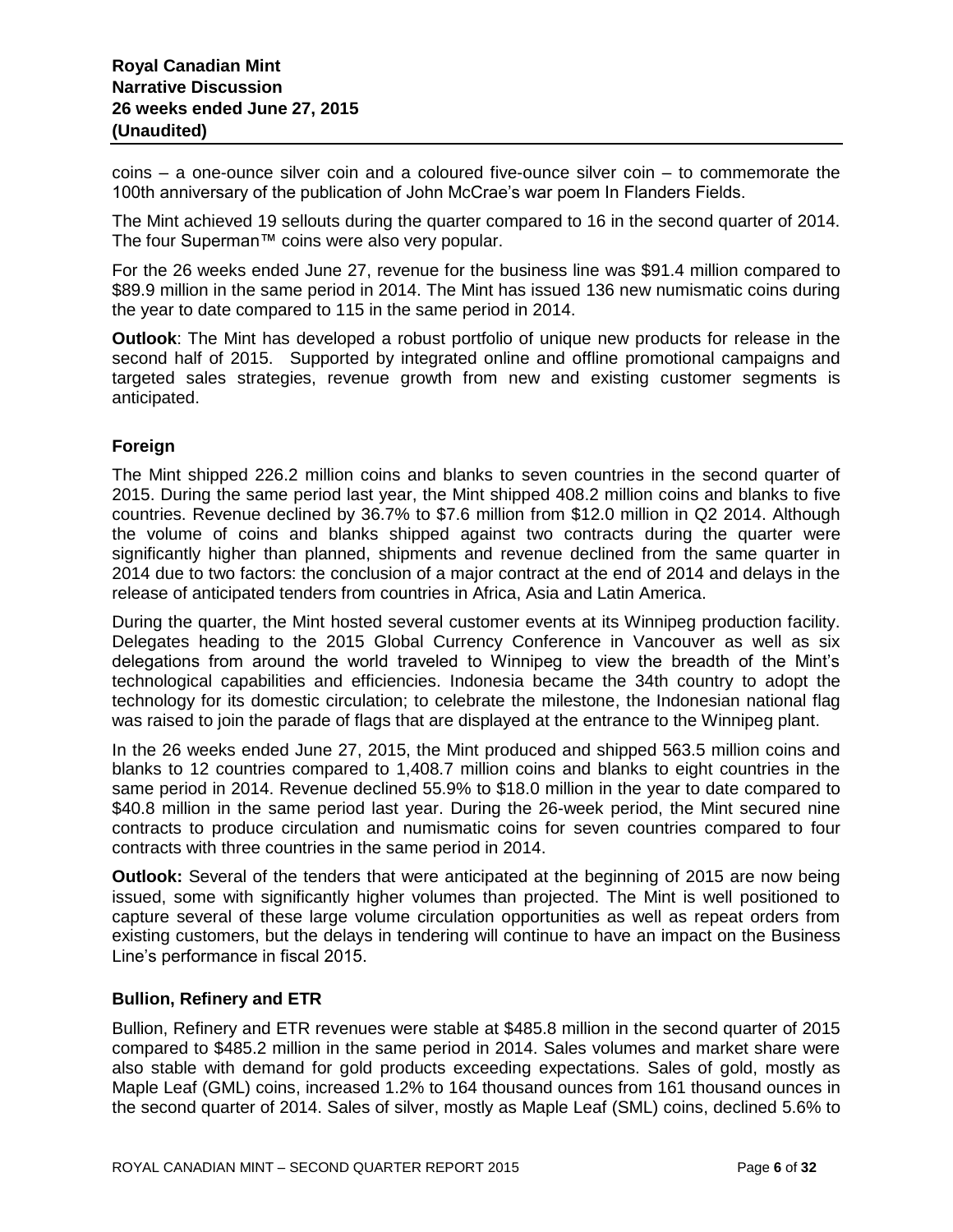coins – a one-ounce silver coin and a coloured five-ounce silver coin – to commemorate the 100th anniversary of the publication of John McCrae's war poem In Flanders Fields.

The Mint achieved 19 sellouts during the quarter compared to 16 in the second quarter of 2014. The four Superman™ coins were also very popular.

For the 26 weeks ended June 27, revenue for the business line was \$91.4 million compared to \$89.9 million in the same period in 2014. The Mint has issued 136 new numismatic coins during the year to date compared to 115 in the same period in 2014.

**Outlook**: The Mint has developed a robust portfolio of unique new products for release in the second half of 2015. Supported by integrated online and offline promotional campaigns and targeted sales strategies, revenue growth from new and existing customer segments is anticipated.

## **Foreign**

The Mint shipped 226.2 million coins and blanks to seven countries in the second quarter of 2015. During the same period last year, the Mint shipped 408.2 million coins and blanks to five countries. Revenue declined by 36.7% to \$7.6 million from \$12.0 million in Q2 2014. Although the volume of coins and blanks shipped against two contracts during the quarter were significantly higher than planned, shipments and revenue declined from the same quarter in 2014 due to two factors: the conclusion of a major contract at the end of 2014 and delays in the release of anticipated tenders from countries in Africa, Asia and Latin America.

During the quarter, the Mint hosted several customer events at its Winnipeg production facility. Delegates heading to the 2015 Global Currency Conference in Vancouver as well as six delegations from around the world traveled to Winnipeg to view the breadth of the Mint's technological capabilities and efficiencies. Indonesia became the 34th country to adopt the technology for its domestic circulation; to celebrate the milestone, the Indonesian national flag was raised to join the parade of flags that are displayed at the entrance to the Winnipeg plant.

In the 26 weeks ended June 27, 2015, the Mint produced and shipped 563.5 million coins and blanks to 12 countries compared to 1,408.7 million coins and blanks to eight countries in the same period in 2014. Revenue declined 55.9% to \$18.0 million in the year to date compared to \$40.8 million in the same period last year. During the 26-week period, the Mint secured nine contracts to produce circulation and numismatic coins for seven countries compared to four contracts with three countries in the same period in 2014.

**Outlook:** Several of the tenders that were anticipated at the beginning of 2015 are now being issued, some with significantly higher volumes than projected. The Mint is well positioned to capture several of these large volume circulation opportunities as well as repeat orders from existing customers, but the delays in tendering will continue to have an impact on the Business Line's performance in fiscal 2015.

## **Bullion, Refinery and ETR**

Bullion, Refinery and ETR revenues were stable at \$485.8 million in the second quarter of 2015 compared to \$485.2 million in the same period in 2014. Sales volumes and market share were also stable with demand for gold products exceeding expectations. Sales of gold, mostly as Maple Leaf (GML) coins, increased 1.2% to 164 thousand ounces from 161 thousand ounces in the second quarter of 2014. Sales of silver, mostly as Maple Leaf (SML) coins, declined 5.6% to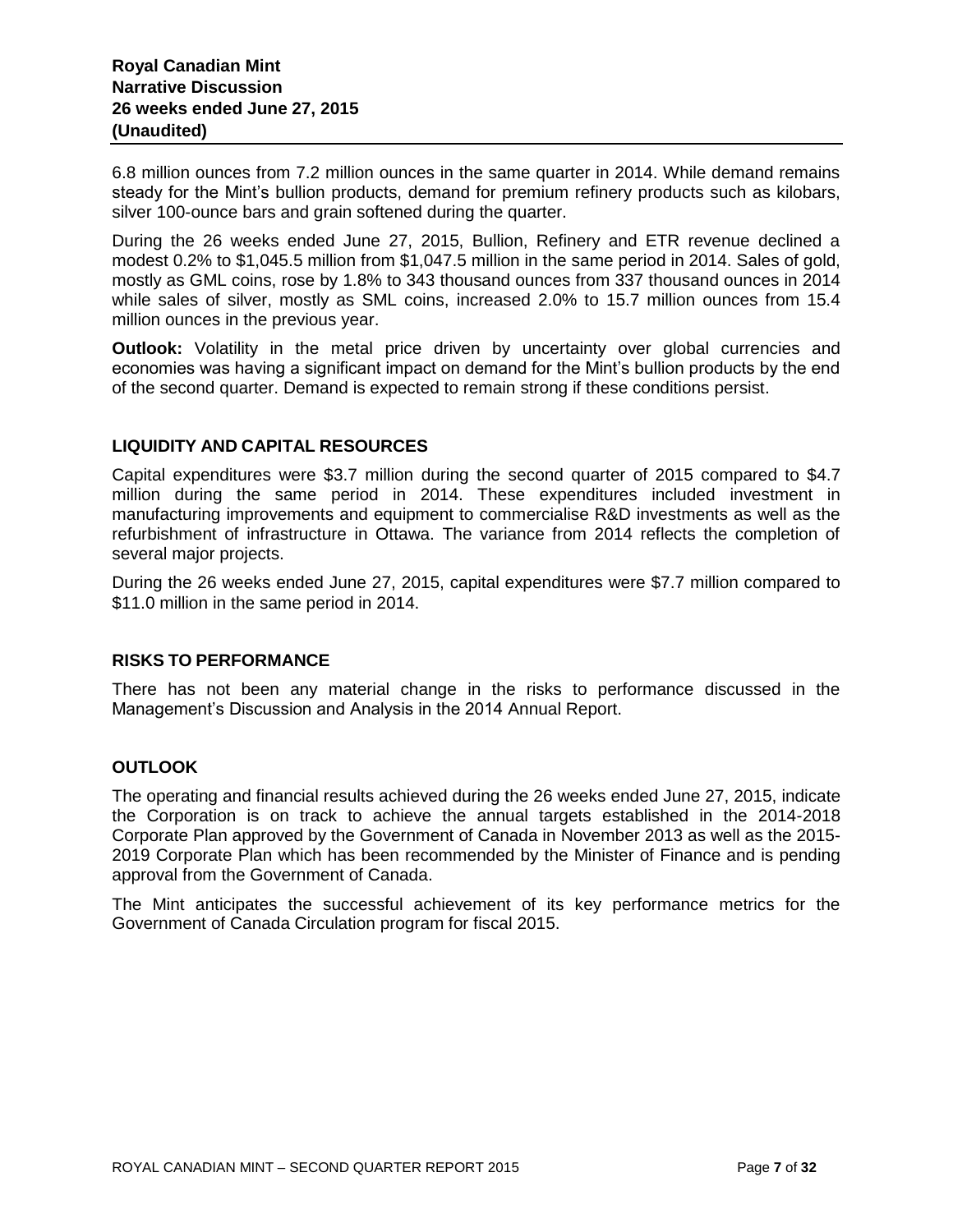6.8 million ounces from 7.2 million ounces in the same quarter in 2014. While demand remains steady for the Mint's bullion products, demand for premium refinery products such as kilobars, silver 100-ounce bars and grain softened during the quarter.

During the 26 weeks ended June 27, 2015, Bullion, Refinery and ETR revenue declined a modest 0.2% to \$1,045.5 million from \$1,047.5 million in the same period in 2014. Sales of gold, mostly as GML coins, rose by 1.8% to 343 thousand ounces from 337 thousand ounces in 2014 while sales of silver, mostly as SML coins, increased 2.0% to 15.7 million ounces from 15.4 million ounces in the previous year.

**Outlook:** Volatility in the metal price driven by uncertainty over global currencies and economies was having a significant impact on demand for the Mint's bullion products by the end of the second quarter. Demand is expected to remain strong if these conditions persist.

## **LIQUIDITY AND CAPITAL RESOURCES**

Capital expenditures were \$3.7 million during the second quarter of 2015 compared to \$4.7 million during the same period in 2014. These expenditures included investment in manufacturing improvements and equipment to commercialise R&D investments as well as the refurbishment of infrastructure in Ottawa. The variance from 2014 reflects the completion of several major projects.

During the 26 weeks ended June 27, 2015, capital expenditures were \$7.7 million compared to \$11.0 million in the same period in 2014.

## **RISKS TO PERFORMANCE**

There has not been any material change in the risks to performance discussed in the Management's Discussion and Analysis in the 2014 Annual Report.

## **OUTLOOK**

The operating and financial results achieved during the 26 weeks ended June 27, 2015, indicate the Corporation is on track to achieve the annual targets established in the 2014-2018 Corporate Plan approved by the Government of Canada in November 2013 as well as the 2015- 2019 Corporate Plan which has been recommended by the Minister of Finance and is pending approval from the Government of Canada.

The Mint anticipates the successful achievement of its key performance metrics for the Government of Canada Circulation program for fiscal 2015.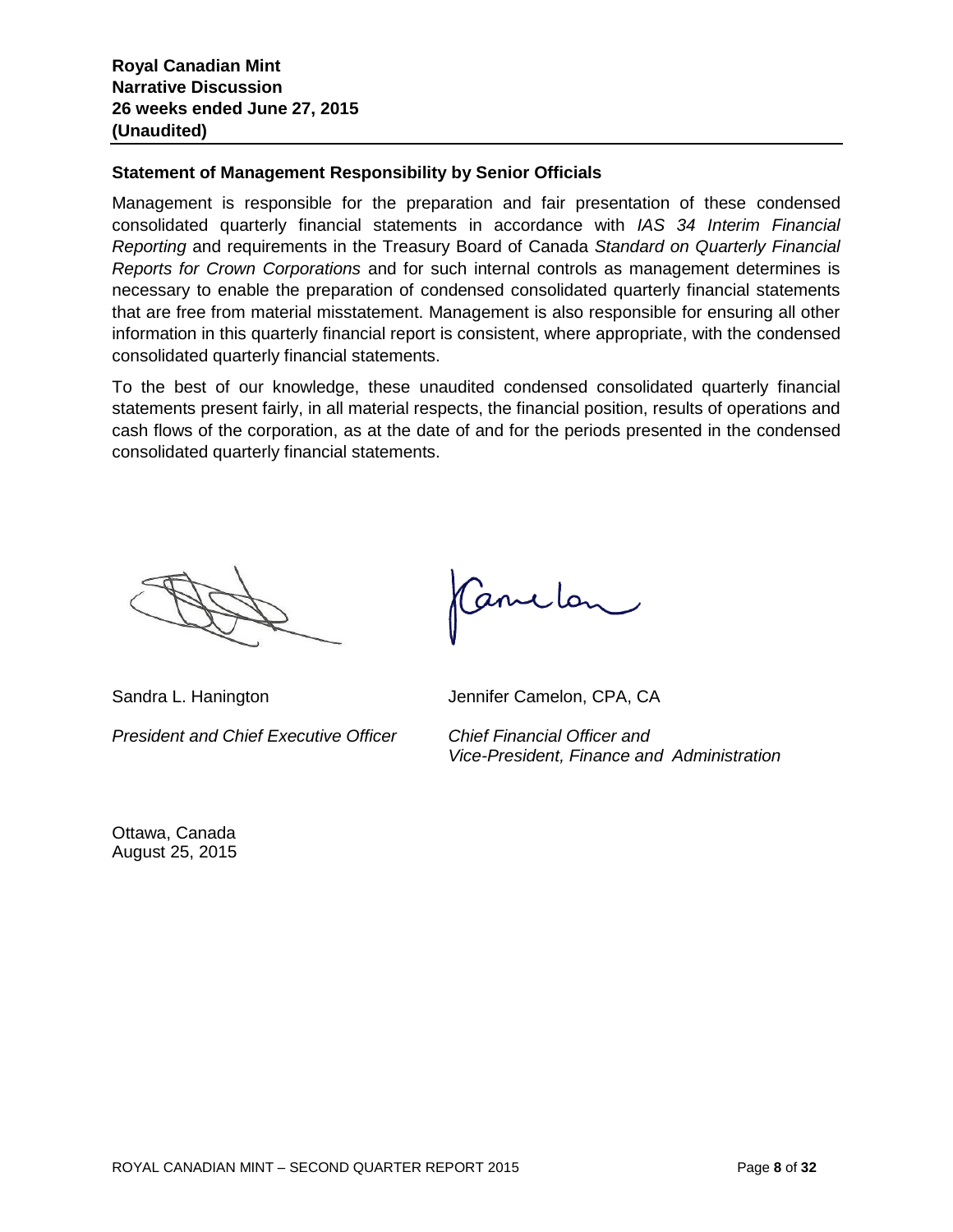## **Statement of Management Responsibility by Senior Officials**

Management is responsible for the preparation and fair presentation of these condensed consolidated quarterly financial statements in accordance with *IAS 34 Interim Financial Reporting* and requirements in the Treasury Board of Canada *Standard on Quarterly Financial Reports for Crown Corporations* and for such internal controls as management determines is necessary to enable the preparation of condensed consolidated quarterly financial statements that are free from material misstatement. Management is also responsible for ensuring all other information in this quarterly financial report is consistent, where appropriate, with the condensed consolidated quarterly financial statements.

To the best of our knowledge, these unaudited condensed consolidated quarterly financial statements present fairly, in all material respects, the financial position, results of operations and cash flows of the corporation, as at the date of and for the periods presented in the condensed consolidated quarterly financial statements.

*President and Chief Executive Officer Chief Financial Officer and*

Canclon

Sandra L. Hanington **Jennifer Camelon, CPA, CA** 

*Vice-President, Finance and Administration*

Ottawa, Canada August 25, 2015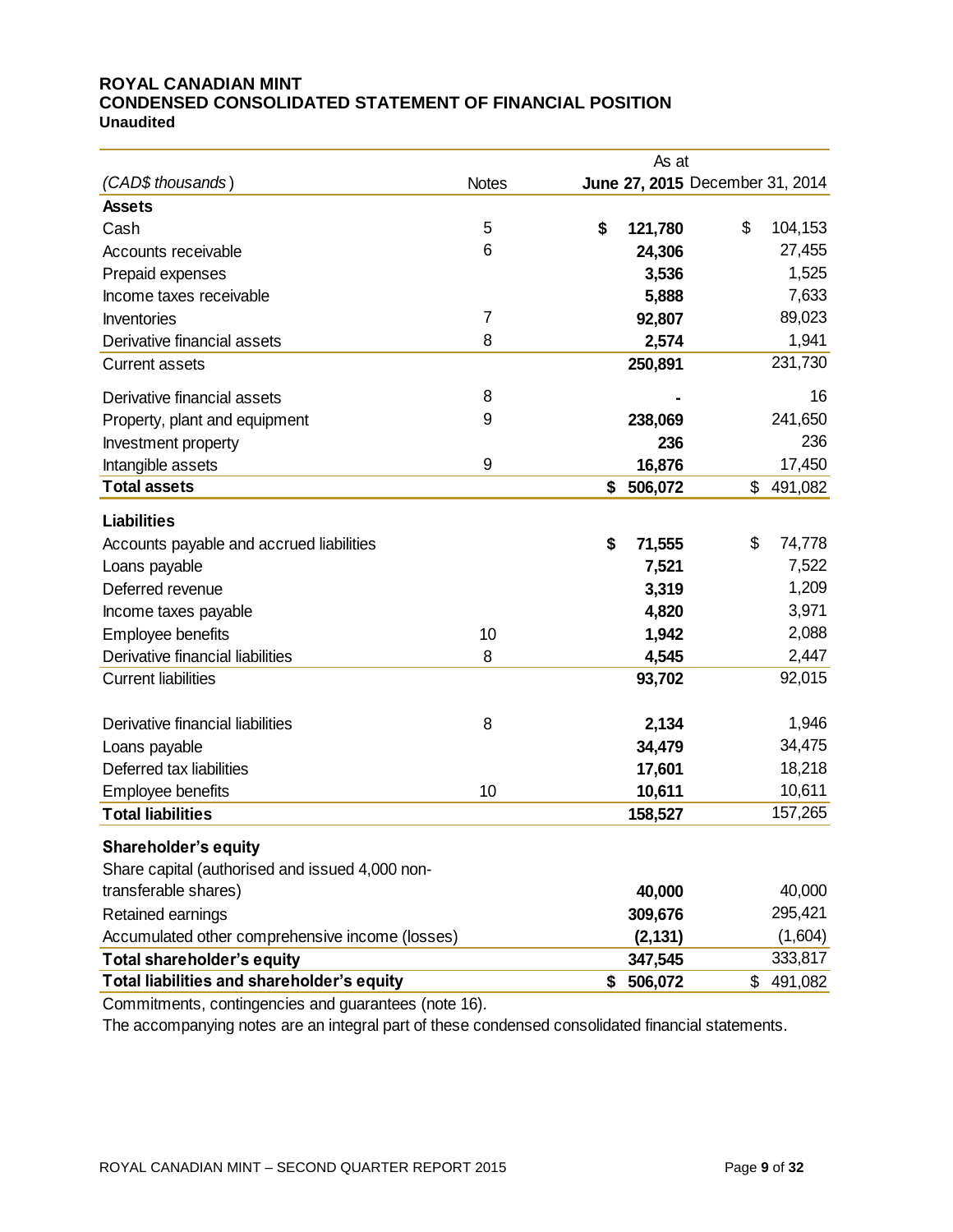#### **ROYAL CANADIAN MINT CONDENSED CONSOLIDATED STATEMENT OF FINANCIAL POSITION Unaudited**

|                                                 |              | As at         |                                 |         |
|-------------------------------------------------|--------------|---------------|---------------------------------|---------|
| (CAD\$ thousands)                               | <b>Notes</b> |               | June 27, 2015 December 31, 2014 |         |
| <b>Assets</b>                                   |              |               |                                 |         |
| Cash                                            | 5            | \$<br>121,780 | \$                              | 104,153 |
| Accounts receivable                             | 6            | 24,306        |                                 | 27,455  |
| Prepaid expenses                                |              | 3,536         |                                 | 1,525   |
| Income taxes receivable                         |              | 5,888         |                                 | 7,633   |
| Inventories                                     | 7            | 92,807        |                                 | 89,023  |
| Derivative financial assets                     | 8            | 2,574         |                                 | 1,941   |
| <b>Current assets</b>                           |              | 250,891       |                                 | 231,730 |
| Derivative financial assets                     | 8            |               |                                 | 16      |
| Property, plant and equipment                   | 9            | 238,069       |                                 | 241,650 |
| Investment property                             |              | 236           |                                 | 236     |
| Intangible assets                               | 9            | 16,876        |                                 | 17,450  |
| <b>Total assets</b>                             |              | \$<br>506,072 | \$                              | 491,082 |
| <b>Liabilities</b>                              |              |               |                                 |         |
| Accounts payable and accrued liabilities        |              | \$<br>71,555  | \$                              | 74,778  |
| Loans payable                                   |              | 7,521         |                                 | 7,522   |
| Deferred revenue                                |              | 3,319         |                                 | 1,209   |
| Income taxes payable                            |              | 4,820         |                                 | 3,971   |
| Employee benefits                               | 10           | 1,942         |                                 | 2,088   |
| Derivative financial liabilities                | 8            | 4,545         |                                 | 2,447   |
| <b>Current liabilities</b>                      |              | 93,702        |                                 | 92,015  |
|                                                 |              |               |                                 |         |
| Derivative financial liabilities                | 8            | 2,134         |                                 | 1,946   |
| Loans payable                                   |              | 34,479        |                                 | 34,475  |
| Deferred tax liabilities                        |              | 17,601        |                                 | 18,218  |
| Employee benefits                               | 10           | 10,611        |                                 | 10,611  |
| <b>Total liabilities</b>                        |              | 158,527       |                                 | 157,265 |
| <b>Shareholder's equity</b>                     |              |               |                                 |         |
| Share capital (authorised and issued 4,000 non- |              |               |                                 |         |
| transferable shares)                            |              | 40,000        |                                 | 40,000  |
| Retained earnings                               |              | 309,676       |                                 | 295,421 |
| Accumulated other comprehensive income (losses) |              | (2, 131)      |                                 | (1,604) |
| <b>Total shareholder's equity</b>               |              | 347,545       |                                 | 333,817 |
| Total liabilities and shareholder's equity      |              | \$<br>506,072 | \$                              | 491,082 |

Commitments, contingencies and guarantees (note 16).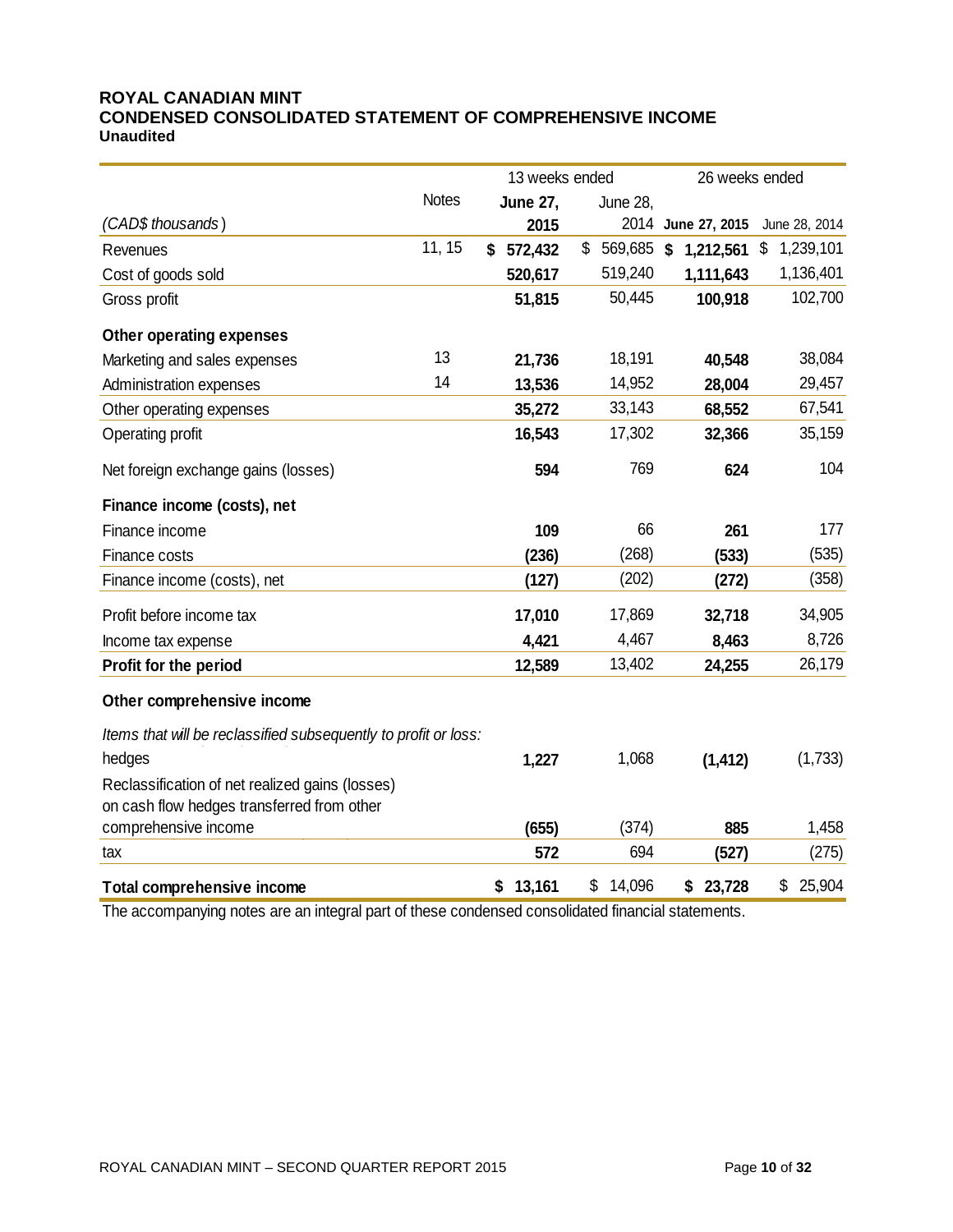#### **ROYAL CANADIAN MINT CONDENSED CONSOLIDATED STATEMENT OF COMPREHENSIVE INCOME Unaudited**

|                                                                 | 13 weeks ended |                 |                  | 26 weeks ended     |                 |  |
|-----------------------------------------------------------------|----------------|-----------------|------------------|--------------------|-----------------|--|
|                                                                 | <b>Notes</b>   | <b>June 27,</b> | June 28,         |                    |                 |  |
| (CAD\$ thousands)                                               |                | 2015            |                  | 2014 June 27, 2015 | June 28, 2014   |  |
| Revenues                                                        | 11, 15         | 572,432<br>\$   | \$<br>569,685 \$ | 1,212,561          | \$<br>1,239,101 |  |
| Cost of goods sold                                              |                | 520,617         | 519,240          | 1,111,643          | 1,136,401       |  |
| Gross profit                                                    |                | 51,815          | 50,445           | 100,918            | 102,700         |  |
| Other operating expenses                                        |                |                 |                  |                    |                 |  |
| Marketing and sales expenses                                    | 13             | 21,736          | 18,191           | 40,548             | 38,084          |  |
| Administration expenses                                         | 14             | 13,536          | 14,952           | 28,004             | 29,457          |  |
| Other operating expenses                                        |                | 35,272          | 33,143           | 68,552             | 67,541          |  |
| Operating profit                                                |                | 16,543          | 17,302           | 32,366             | 35,159          |  |
| Net foreign exchange gains (losses)                             |                | 594             | 769              | 624                | 104             |  |
| Finance income (costs), net                                     |                |                 |                  |                    |                 |  |
| Finance income                                                  |                | 109             | 66               | 261                | 177             |  |
| Finance costs                                                   |                | (236)           | (268)            | (533)              | (535)           |  |
| Finance income (costs), net                                     |                | (127)           | (202)            | (272)              | (358)           |  |
| Profit before income tax                                        |                | 17,010          | 17,869           | 32,718             | 34,905          |  |
| Income tax expense                                              |                | 4,421           | 4,467            | 8,463              | 8,726           |  |
| Profit for the period                                           |                | 12,589          | 13,402           | 24,255             | 26,179          |  |
| Other comprehensive income                                      |                |                 |                  |                    |                 |  |
| Items that will be reclassified subsequently to profit or loss: |                |                 |                  |                    |                 |  |
| hedges                                                          |                | 1,227           | 1,068            | (1, 412)           | (1,733)         |  |
| Reclassification of net realized gains (losses)                 |                |                 |                  |                    |                 |  |
| on cash flow hedges transferred from other                      |                |                 |                  |                    |                 |  |
| comprehensive income                                            |                | (655)           | (374)            | 885                | 1,458           |  |
| tax                                                             |                | 572             | 694              | (527)              | (275)           |  |
| <b>Total comprehensive income</b>                               |                | 13,161<br>\$    | \$<br>14,096     | 23,728<br>\$       | \$<br>25,904    |  |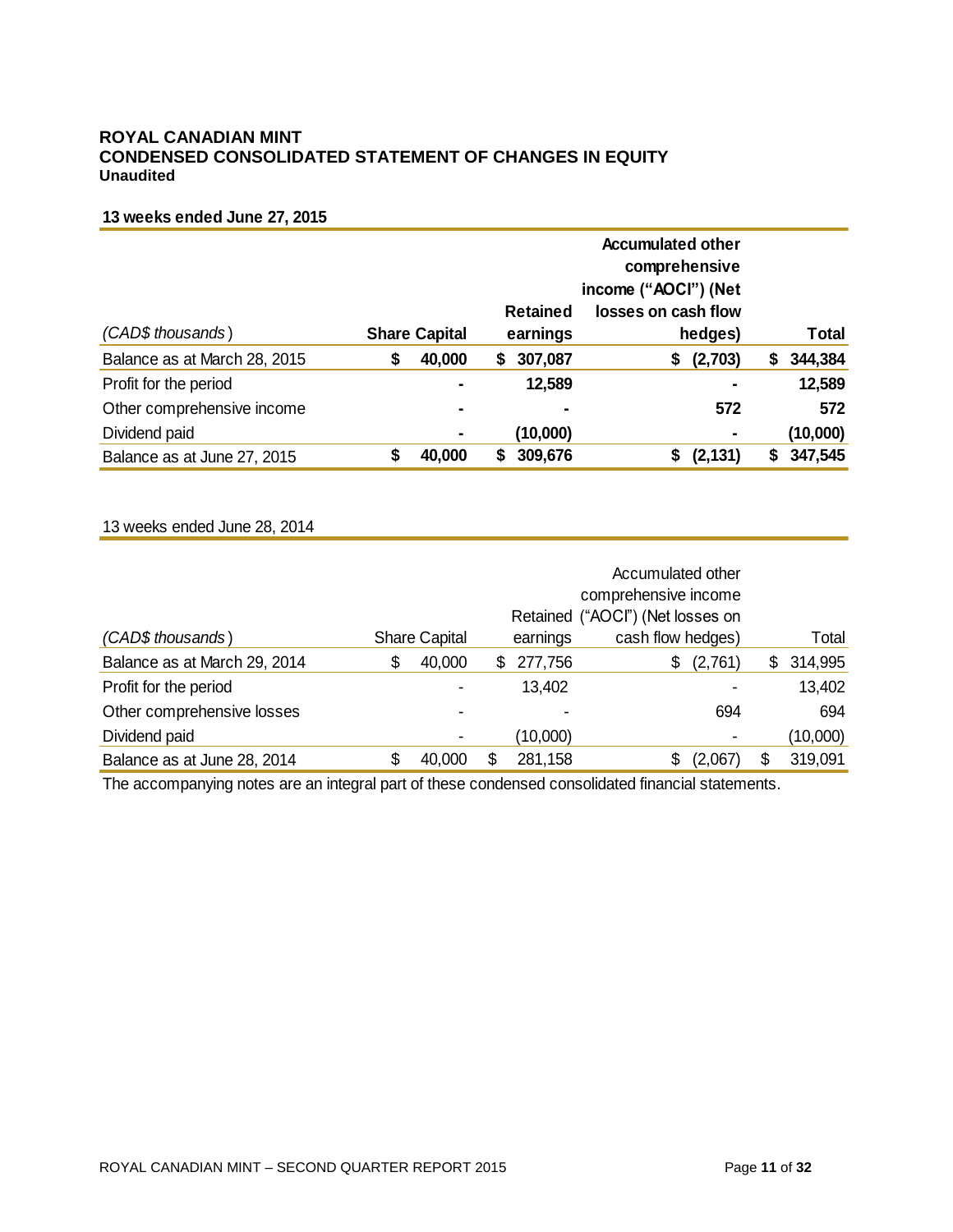#### **ROYAL CANADIAN MINT CONDENSED CONSOLIDATED STATEMENT OF CHANGES IN EQUITY Unaudited**

#### **13 weeks ended June 27, 2015**

|                              |                      |        | comprehensive<br>income ("AOCI") (Net |                     |                |   |              |
|------------------------------|----------------------|--------|---------------------------------------|---------------------|----------------|---|--------------|
|                              |                      |        | <b>Retained</b>                       | losses on cash flow |                |   |              |
| (CAD\$ thousands)            | <b>Share Capital</b> |        | earnings                              |                     | hedges)        |   | <b>Total</b> |
| Balance as at March 28, 2015 | \$                   | 40,000 | \$<br>307,087                         | \$                  | (2,703)        | S | 344,384      |
| Profit for the period        |                      |        | 12,589                                |                     | $\blacksquare$ |   | 12,589       |
| Other comprehensive income   |                      |        | $\blacksquare$                        |                     | 572            |   | 572          |
| Dividend paid                |                      | ۰      | (10,000)                              |                     | $\blacksquare$ |   | (10,000)     |
| Balance as at June 27, 2015  |                      | 40,000 | 309,676                               | S                   | (2, 131)       |   | 347,545      |

#### 13 weeks ended June 28, 2014

|                              |   |                          | Retained ("AOCI") (Net losses on |                |                   |               |
|------------------------------|---|--------------------------|----------------------------------|----------------|-------------------|---------------|
| (CAD\$ thousands)            |   | <b>Share Capital</b>     |                                  | earnings       | cash flow hedges) | Total         |
| Balance as at March 29, 2014 | S | 40,000                   | SS.                              | 277,756        | (2,761)<br>\$     | \$<br>314,995 |
| Profit for the period        |   | $\overline{\phantom{0}}$ |                                  | 13,402         |                   | 13,402        |
| Other comprehensive losses   |   |                          |                                  | $\blacksquare$ | 694               | 694           |
| Dividend paid                |   |                          |                                  | (10,000)       |                   | (10,000)      |
| Balance as at June 28, 2014  |   | 40,000                   |                                  | 281,158        | (2,067)           | \$<br>319,091 |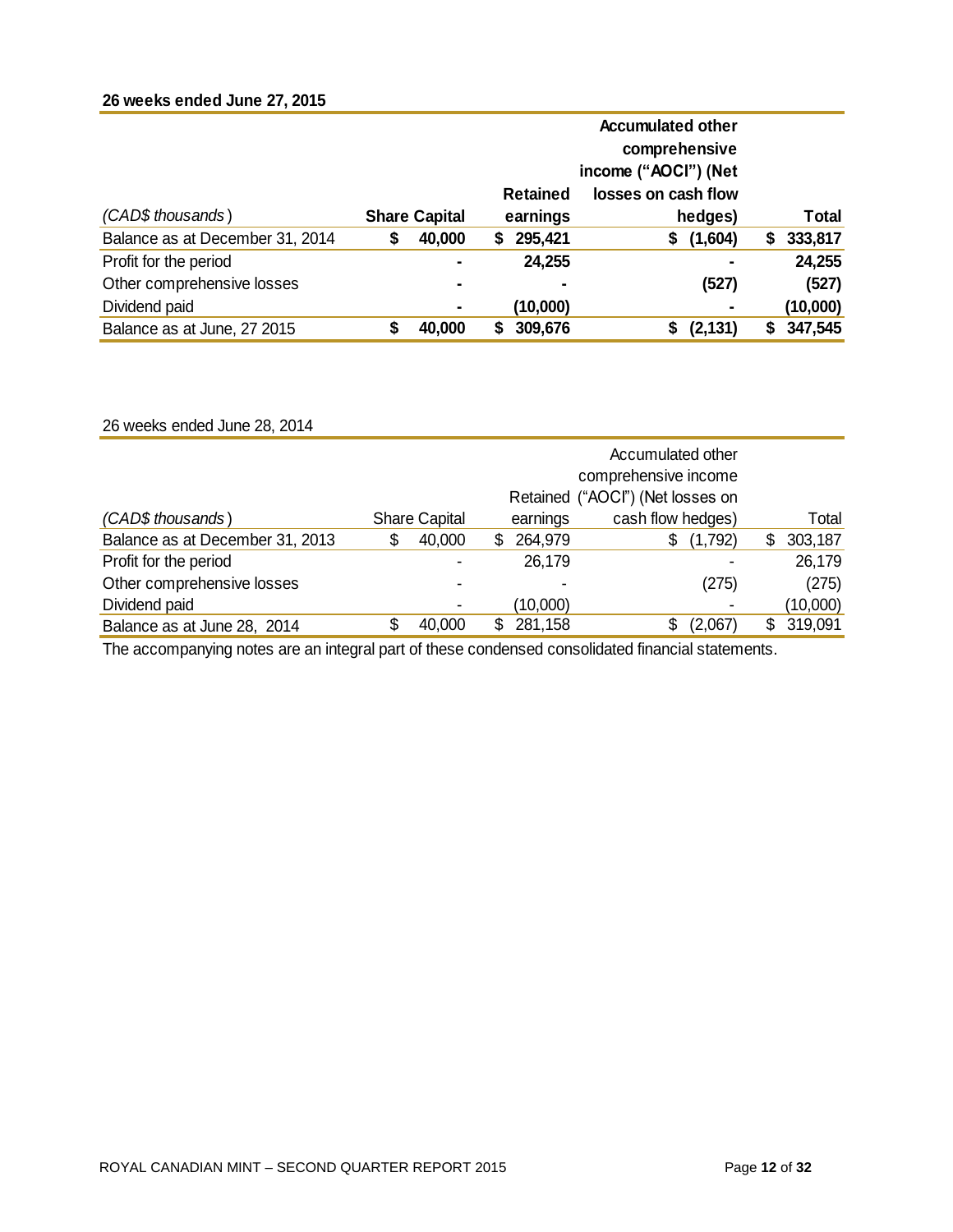# **26 weeks ended June 27, 2015**

|                                 | <b>Accumulated other</b> |                      |   |                 |                      |          |   |          |
|---------------------------------|--------------------------|----------------------|---|-----------------|----------------------|----------|---|----------|
|                                 |                          |                      |   |                 | comprehensive        |          |   |          |
|                                 |                          |                      |   |                 | income ("AOCI") (Net |          |   |          |
|                                 |                          |                      |   | <b>Retained</b> | losses on cash flow  |          |   |          |
| (CAD\$ thousands)               |                          | <b>Share Capital</b> |   | earnings        |                      | hedges)  |   | Total    |
| Balance as at December 31, 2014 | \$                       | 40,000               | 5 | 295,421         | \$                   | (1,604)  | S | 333,817  |
| Profit for the period           |                          |                      |   | 24,255          |                      |          |   | 24,255   |
| Other comprehensive losses      |                          | ۰                    |   |                 |                      | (527)    |   | (527)    |
| Dividend paid                   |                          | ۰                    |   | (10,000)        |                      |          |   | (10,000) |
| Balance as at June, 27 2015     |                          | 40,000               |   | 309,676         |                      | (2, 131) |   | 347,545  |

26 weeks ended June 28, 2014

|                                 |   |                      | comprehensive income<br>Retained ("AOCI") (Net losses on |                   |    |          |
|---------------------------------|---|----------------------|----------------------------------------------------------|-------------------|----|----------|
| (CAD\$ thousands)               |   | <b>Share Capital</b> | earnings                                                 | cash flow hedges) |    | Total    |
| Balance as at December 31, 2013 | S | 40,000               | \$<br>264,979                                            | (1,792)<br>S.     | S. | 303,187  |
| Profit for the period           |   |                      | 26,179                                                   |                   |    | 26,179   |
| Other comprehensive losses      |   |                      | ٠                                                        | (275)             |    | (275)    |
| Dividend paid                   |   |                      | (10,000)                                                 |                   |    | (10,000) |
| Balance as at June 28, 2014     |   | 40,000               | 281,158                                                  | (2,067)           | S  | 319,091  |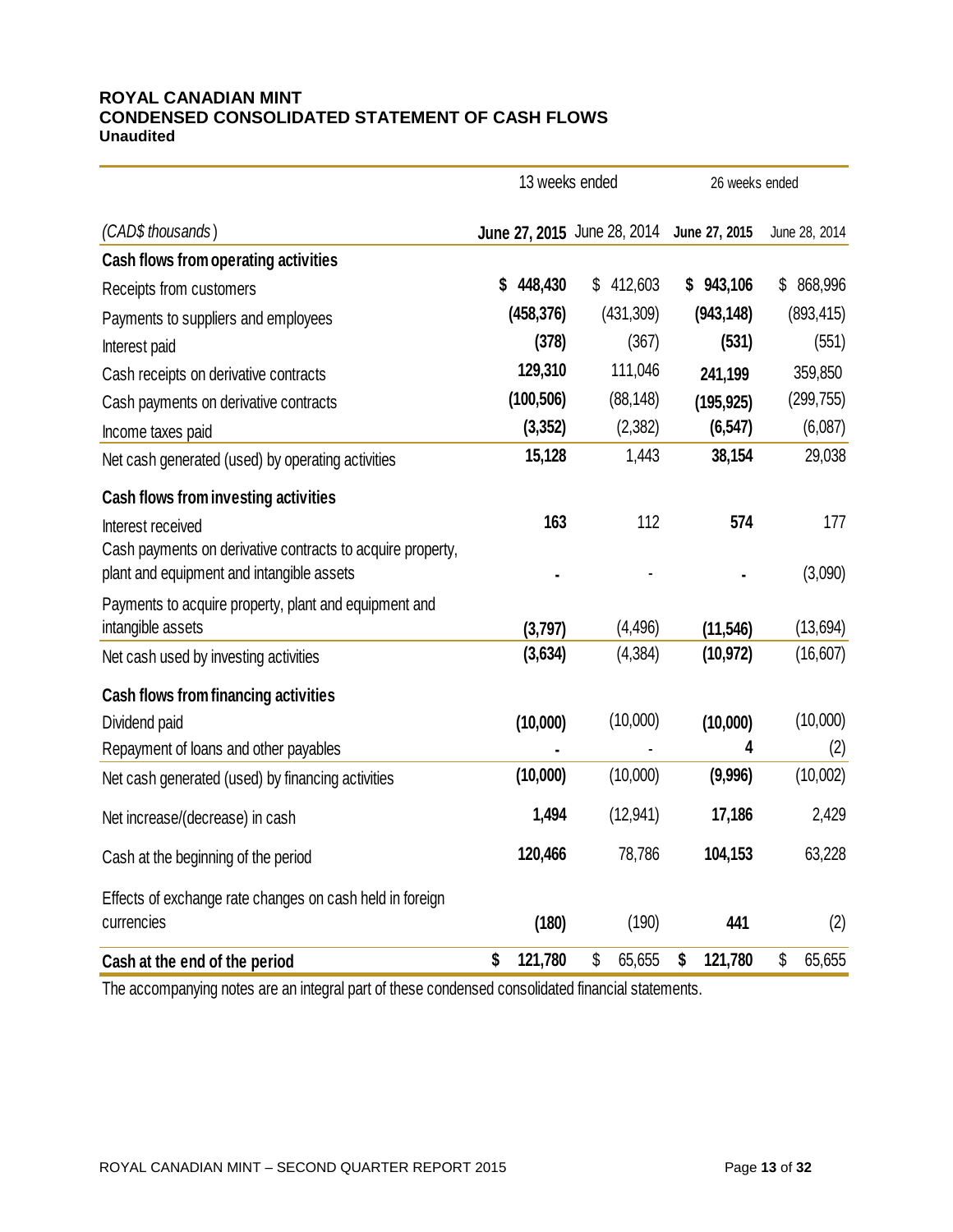#### **ROYAL CANADIAN MINT CONDENSED CONSOLIDATED STATEMENT OF CASH FLOWS Unaudited**

|                                                            | 13 weeks ended |                             | 26 weeks ended |               |  |
|------------------------------------------------------------|----------------|-----------------------------|----------------|---------------|--|
| (CAD\$ thousands)                                          |                | June 27, 2015 June 28, 2014 | June 27, 2015  | June 28, 2014 |  |
| Cash flows from operating activities                       |                |                             |                |               |  |
| Receipts from customers                                    | 448,430        | \$412,603                   | \$943,106      | 868,996<br>\$ |  |
| Payments to suppliers and employees                        | (458, 376)     | (431, 309)                  | (943, 148)     | (893, 415)    |  |
| Interest paid                                              | (378)          | (367)                       | (531)          | (551)         |  |
| Cash receipts on derivative contracts                      | 129,310        | 111,046                     | 241,199        | 359,850       |  |
| Cash payments on derivative contracts                      | (100, 506)     | (88, 148)                   | (195, 925)     | (299, 755)    |  |
| Income taxes paid                                          | (3, 352)       | (2,382)                     | (6, 547)       | (6,087)       |  |
| Net cash generated (used) by operating activities          | 15,128         | 1,443                       | 38,154         | 29,038        |  |
| Cash flows from investing activities                       |                |                             |                |               |  |
| Interest received                                          | 163            | 112                         | 574            | 177           |  |
| Cash payments on derivative contracts to acquire property, |                |                             |                |               |  |
| plant and equipment and intangible assets                  |                |                             |                | (3,090)       |  |
| Payments to acquire property, plant and equipment and      |                |                             |                |               |  |
| intangible assets                                          | (3,797)        | (4, 496)                    | (11, 546)      | (13, 694)     |  |
| Net cash used by investing activities                      | (3,634)        | (4, 384)                    | (10, 972)      | (16, 607)     |  |
| Cash flows from financing activities                       |                |                             |                |               |  |
| Dividend paid                                              | (10,000)       | (10,000)                    | (10,000)       | (10,000)      |  |
| Repayment of loans and other payables                      |                |                             | 4              | (2)           |  |
| Net cash generated (used) by financing activities          | (10,000)       | (10,000)                    | (9,996)        | (10,002)      |  |
| Net increase/(decrease) in cash                            | 1,494          | (12, 941)                   | 17,186         | 2,429         |  |
| Cash at the beginning of the period                        | 120,466        | 78,786                      | 104,153        | 63,228        |  |
| Effects of exchange rate changes on cash held in foreign   |                |                             |                |               |  |
| currencies                                                 | (180)          | (190)                       | 441            | (2)           |  |
| Cash at the end of the period                              | \$<br>121,780  | \$<br>65,655                | \$<br>121,780  | \$<br>65,655  |  |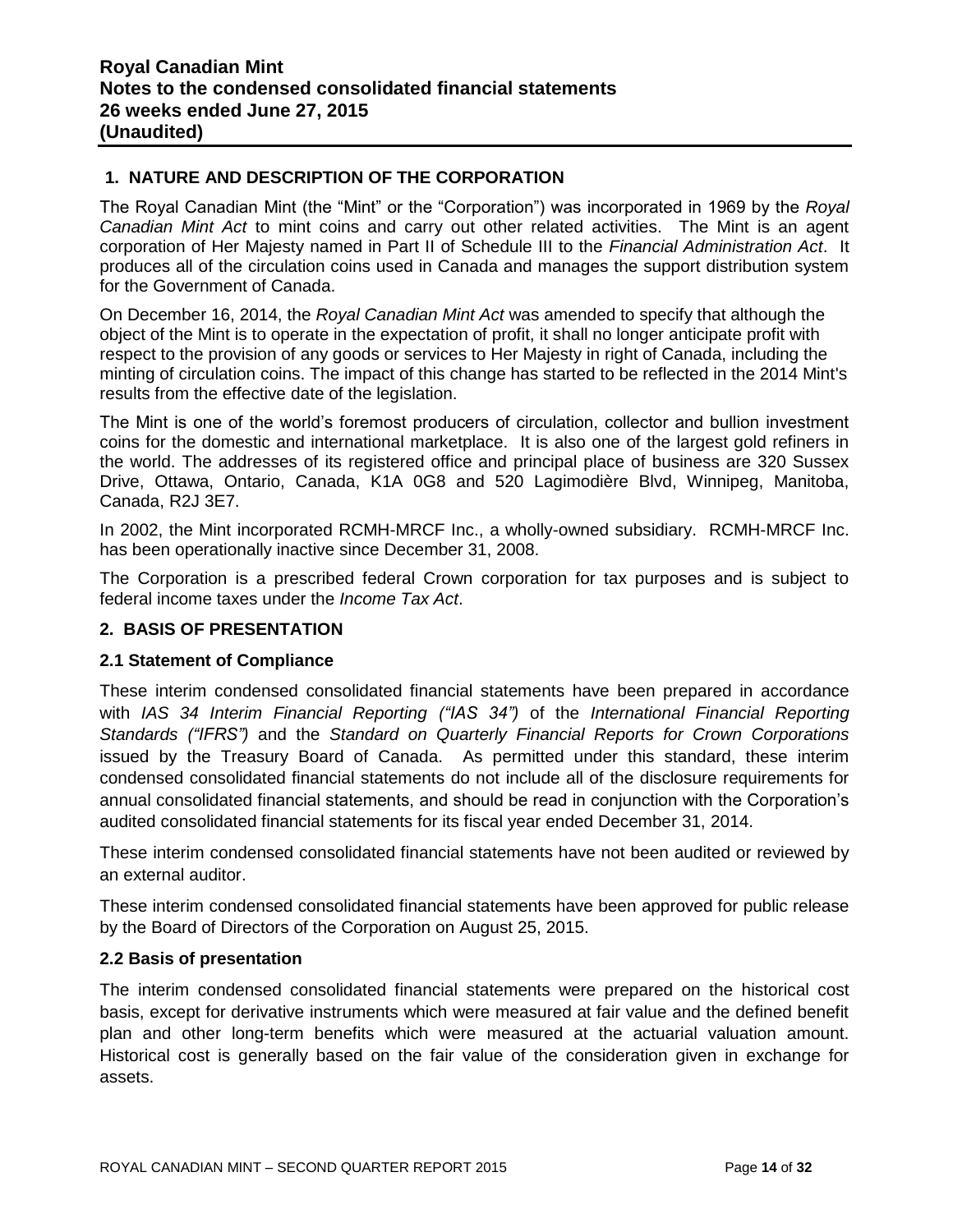## **1. NATURE AND DESCRIPTION OF THE CORPORATION**

The Royal Canadian Mint (the "Mint" or the "Corporation") was incorporated in 1969 by the *Royal Canadian Mint Act* to mint coins and carry out other related activities. The Mint is an agent corporation of Her Majesty named in Part II of Schedule III to the *Financial Administration Act*. It produces all of the circulation coins used in Canada and manages the support distribution system for the Government of Canada.

On December 16, 2014, the *Royal Canadian Mint Act* was amended to specify that although the object of the Mint is to operate in the expectation of profit, it shall no longer anticipate profit with respect to the provision of any goods or services to Her Majesty in right of Canada, including the minting of circulation coins. The impact of this change has started to be reflected in the 2014 Mint's results from the effective date of the legislation.

The Mint is one of the world's foremost producers of circulation, collector and bullion investment coins for the domestic and international marketplace. It is also one of the largest gold refiners in the world. The addresses of its registered office and principal place of business are 320 Sussex Drive, Ottawa, Ontario, Canada, K1A 0G8 and 520 Lagimodière Blvd, Winnipeg, Manitoba, Canada, R2J 3E7.

In 2002, the Mint incorporated RCMH-MRCF Inc., a wholly-owned subsidiary. RCMH-MRCF Inc. has been operationally inactive since December 31, 2008.

The Corporation is a prescribed federal Crown corporation for tax purposes and is subject to federal income taxes under the *Income Tax Act*.

#### **2. BASIS OF PRESENTATION**

#### **2.1 Statement of Compliance**

These interim condensed consolidated financial statements have been prepared in accordance with *IAS 34 Interim Financial Reporting ("IAS 34")* of the *International Financial Reporting Standards ("IFRS")* and the *Standard on Quarterly Financial Reports for Crown Corporations* issued by the Treasury Board of Canada. As permitted under this standard, these interim condensed consolidated financial statements do not include all of the disclosure requirements for annual consolidated financial statements, and should be read in conjunction with the Corporation's audited consolidated financial statements for its fiscal year ended December 31, 2014.

These interim condensed consolidated financial statements have not been audited or reviewed by an external auditor.

These interim condensed consolidated financial statements have been approved for public release by the Board of Directors of the Corporation on August 25, 2015.

#### **2.2 Basis of presentation**

The interim condensed consolidated financial statements were prepared on the historical cost basis, except for derivative instruments which were measured at fair value and the defined benefit plan and other long-term benefits which were measured at the actuarial valuation amount. Historical cost is generally based on the fair value of the consideration given in exchange for assets.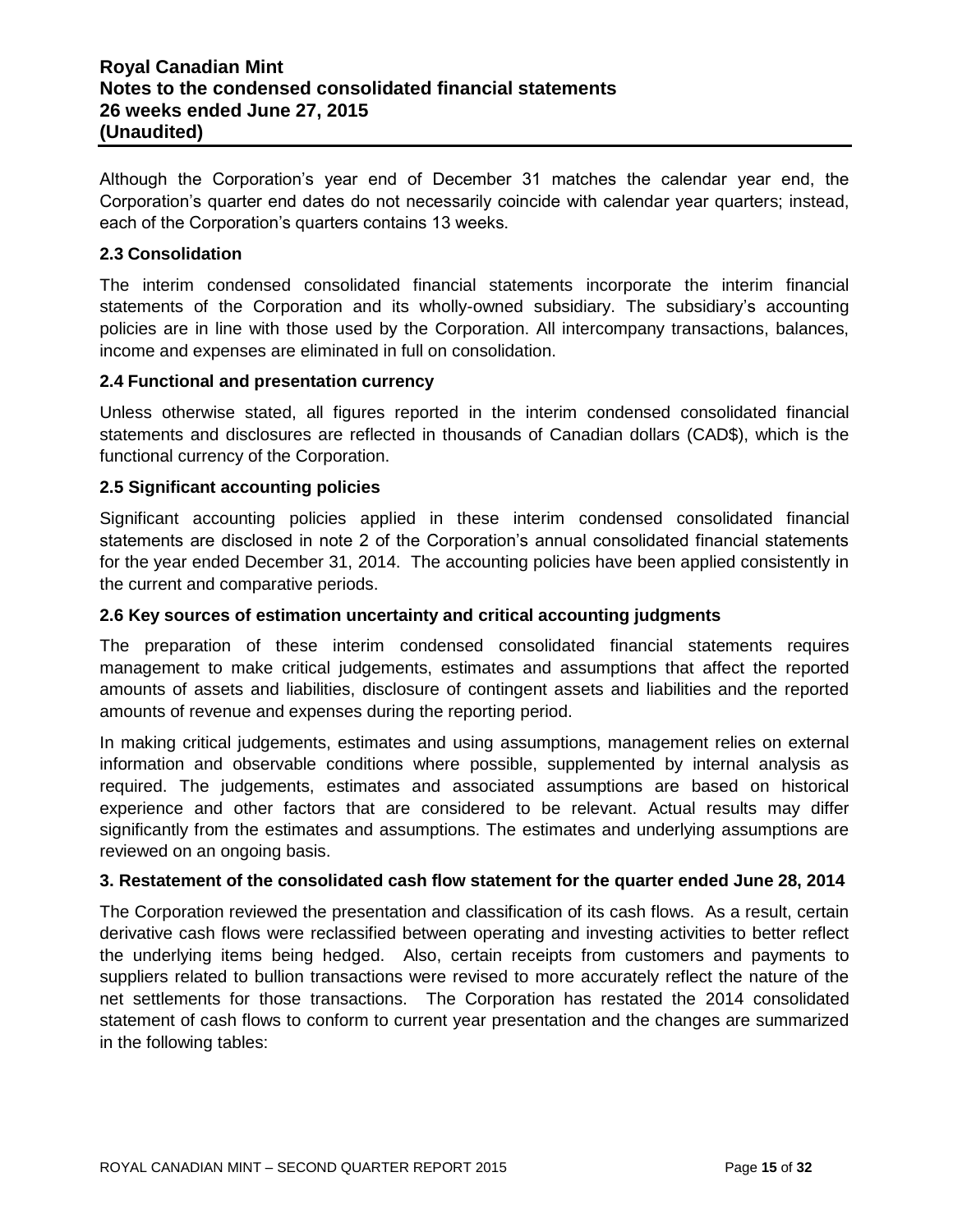# **Royal Canadian Mint Notes to the condensed consolidated financial statements 26 weeks ended June 27, 2015 (Unaudited)**

Although the Corporation's year end of December 31 matches the calendar year end, the Corporation's quarter end dates do not necessarily coincide with calendar year quarters; instead, each of the Corporation's quarters contains 13 weeks.

#### **2.3 Consolidation**

The interim condensed consolidated financial statements incorporate the interim financial statements of the Corporation and its wholly-owned subsidiary. The subsidiary's accounting policies are in line with those used by the Corporation. All intercompany transactions, balances, income and expenses are eliminated in full on consolidation.

#### **2.4 Functional and presentation currency**

Unless otherwise stated, all figures reported in the interim condensed consolidated financial statements and disclosures are reflected in thousands of Canadian dollars (CAD\$), which is the functional currency of the Corporation.

#### **2.5 Significant accounting policies**

Significant accounting policies applied in these interim condensed consolidated financial statements are disclosed in note 2 of the Corporation's annual consolidated financial statements for the year ended December 31, 2014. The accounting policies have been applied consistently in the current and comparative periods.

#### **2.6 Key sources of estimation uncertainty and critical accounting judgments**

The preparation of these interim condensed consolidated financial statements requires management to make critical judgements, estimates and assumptions that affect the reported amounts of assets and liabilities, disclosure of contingent assets and liabilities and the reported amounts of revenue and expenses during the reporting period.

In making critical judgements, estimates and using assumptions, management relies on external information and observable conditions where possible, supplemented by internal analysis as required. The judgements, estimates and associated assumptions are based on historical experience and other factors that are considered to be relevant. Actual results may differ significantly from the estimates and assumptions. The estimates and underlying assumptions are reviewed on an ongoing basis.

#### **3. Restatement of the consolidated cash flow statement for the quarter ended June 28, 2014**

The Corporation reviewed the presentation and classification of its cash flows. As a result, certain derivative cash flows were reclassified between operating and investing activities to better reflect the underlying items being hedged. Also, certain receipts from customers and payments to suppliers related to bullion transactions were revised to more accurately reflect the nature of the net settlements for those transactions. The Corporation has restated the 2014 consolidated statement of cash flows to conform to current year presentation and the changes are summarized in the following tables: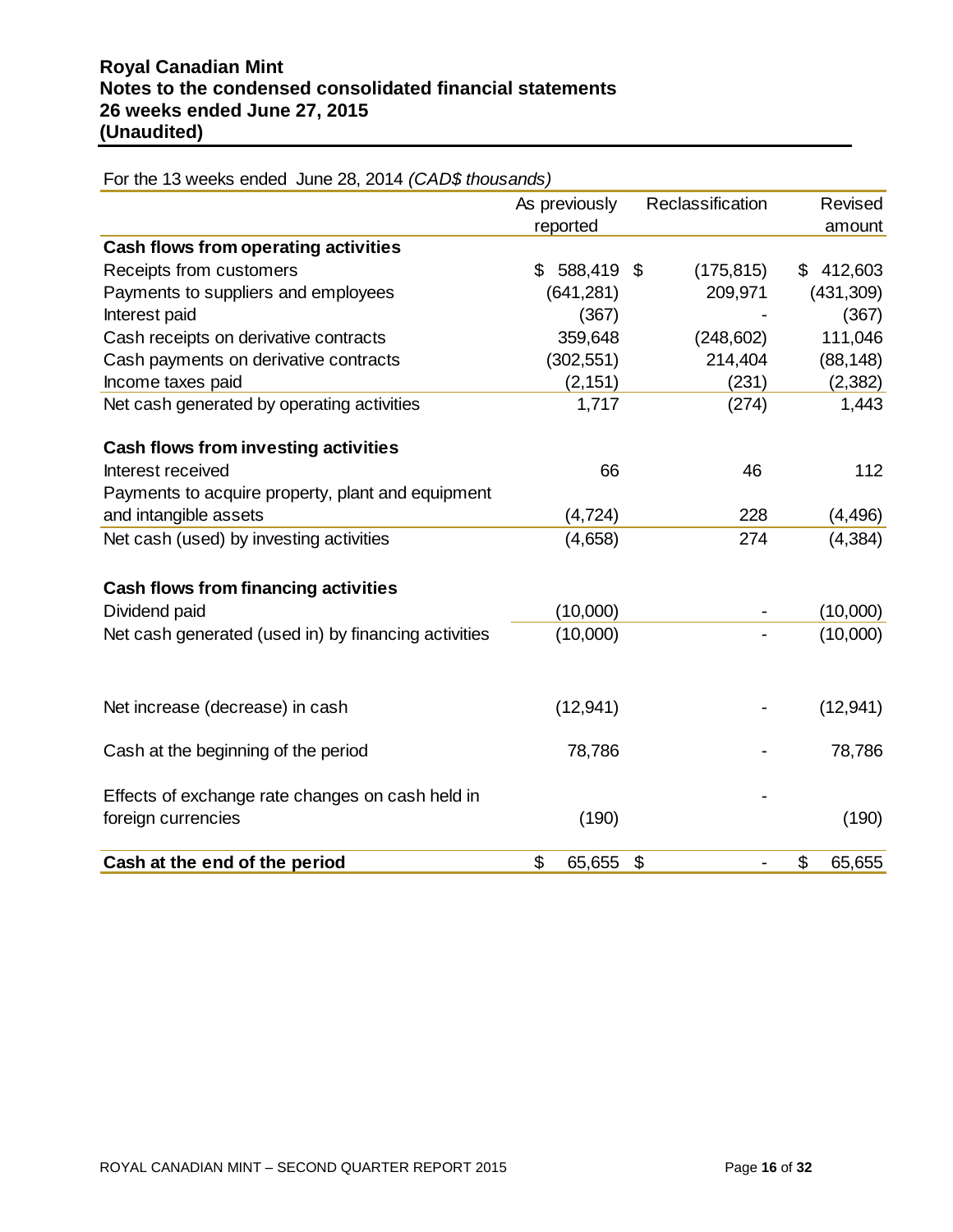|                                                      | As previously<br>reported | Reclassification | Revised<br>amount |
|------------------------------------------------------|---------------------------|------------------|-------------------|
| Cash flows from operating activities                 |                           |                  |                   |
| Receipts from customers                              | 588,419 \$<br>\$          | (175, 815)       | 412,603<br>\$     |
| Payments to suppliers and employees                  | (641, 281)                | 209,971          | (431, 309)        |
| Interest paid                                        | (367)                     |                  | (367)             |
| Cash receipts on derivative contracts                | 359,648                   | (248, 602)       | 111,046           |
| Cash payments on derivative contracts                | (302, 551)                | 214,404          | (88, 148)         |
| Income taxes paid                                    | (2, 151)                  | (231)            | (2, 382)          |
| Net cash generated by operating activities           | 1,717                     | (274)            | 1,443             |
| <b>Cash flows from investing activities</b>          |                           |                  |                   |
| Interest received                                    | 66                        | 46               | 112               |
| Payments to acquire property, plant and equipment    |                           |                  |                   |
| and intangible assets                                | (4, 724)                  | 228              | (4, 496)          |
| Net cash (used) by investing activities              | (4,658)                   | 274              | (4, 384)          |
| <b>Cash flows from financing activities</b>          |                           |                  |                   |
| Dividend paid                                        | (10,000)                  |                  | (10,000)          |
| Net cash generated (used in) by financing activities | (10,000)                  |                  | (10,000)          |
|                                                      |                           |                  |                   |
| Net increase (decrease) in cash                      | (12, 941)                 |                  | (12, 941)         |
| Cash at the beginning of the period                  | 78,786                    |                  | 78,786            |
| Effects of exchange rate changes on cash held in     |                           |                  |                   |
| foreign currencies                                   | (190)                     |                  | (190)             |
| Cash at the end of the period                        | \$<br>65,655              | \$               | \$<br>65,655      |

For the 13 weeks ended June 28, 2014 *(CAD\$ thousands)*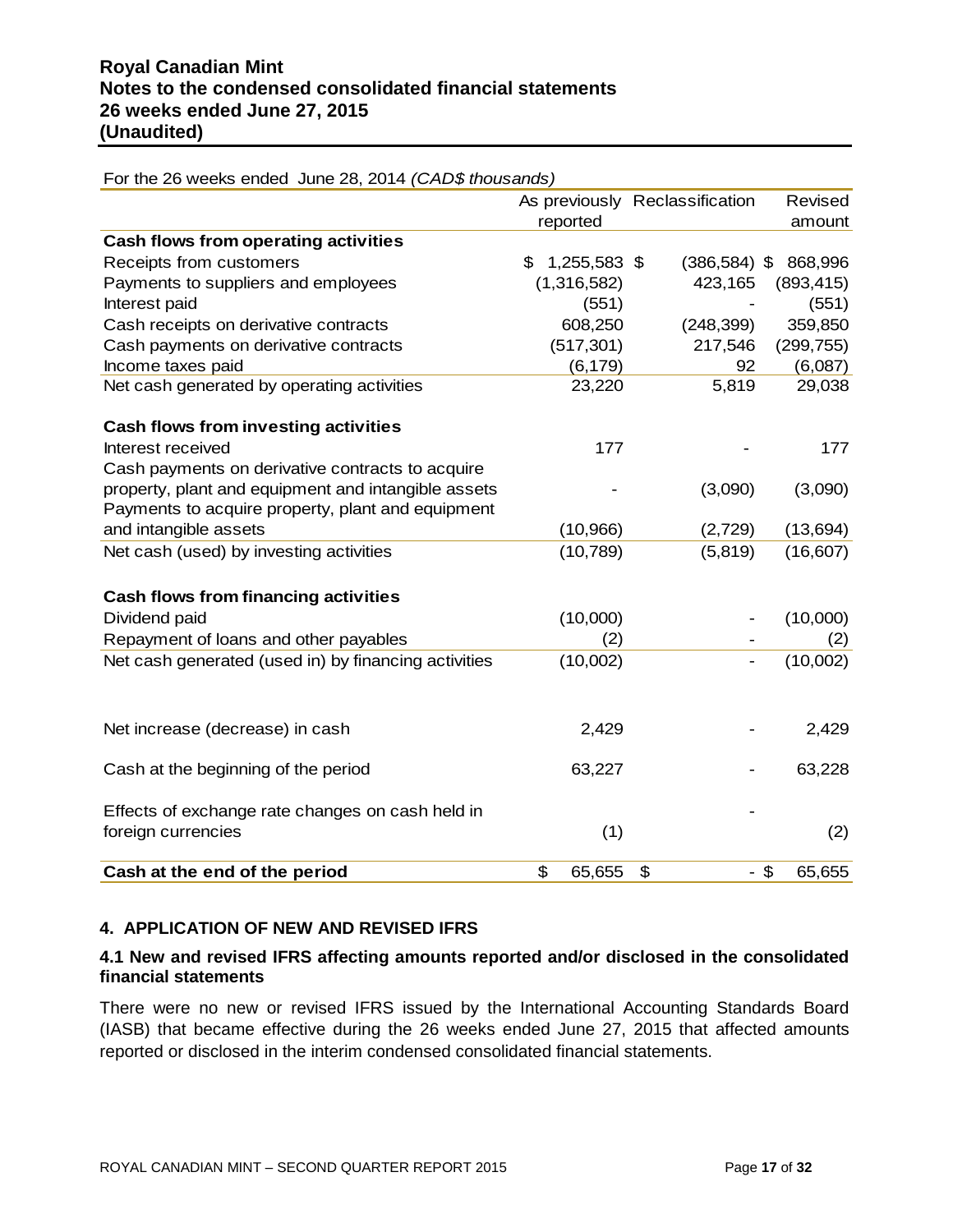| $\frac{1}{1}$ and $\frac{1}{2}$ are model of reduced barro $\frac{1}{2}$ , $\frac{1}{2}$ and $\frac{1}{2}$ are another model in $\frac{1}{2}$ |                    |                                |                  |
|-----------------------------------------------------------------------------------------------------------------------------------------------|--------------------|--------------------------------|------------------|
|                                                                                                                                               |                    | As previously Reclassification | Revised          |
|                                                                                                                                               | reported           |                                | amount           |
| Cash flows from operating activities                                                                                                          |                    |                                |                  |
| Receipts from customers                                                                                                                       | 1,255,583 \$<br>\$ | $(386, 584)$ \$                | 868,996          |
| Payments to suppliers and employees                                                                                                           | (1,316,582)        | 423,165                        | (893, 415)       |
| Interest paid                                                                                                                                 | (551)              |                                | (551)            |
| Cash receipts on derivative contracts                                                                                                         | 608,250            | (248, 399)                     | 359,850          |
| Cash payments on derivative contracts                                                                                                         | (517, 301)         | 217,546                        | (299, 755)       |
| Income taxes paid                                                                                                                             | (6, 179)           | 92                             | (6,087)          |
| Net cash generated by operating activities                                                                                                    | 23,220             | 5,819                          | 29,038           |
| <b>Cash flows from investing activities</b>                                                                                                   |                    |                                |                  |
| Interest received                                                                                                                             | 177                |                                | 177              |
| Cash payments on derivative contracts to acquire                                                                                              |                    |                                |                  |
| property, plant and equipment and intangible assets                                                                                           |                    | (3,090)                        | (3,090)          |
| Payments to acquire property, plant and equipment                                                                                             |                    |                                |                  |
| and intangible assets                                                                                                                         | (10, 966)          | (2,729)                        | (13, 694)        |
| Net cash (used) by investing activities                                                                                                       | (10, 789)          | (5, 819)                       | (16, 607)        |
| <b>Cash flows from financing activities</b>                                                                                                   |                    |                                |                  |
| Dividend paid                                                                                                                                 | (10,000)           |                                | (10,000)         |
| Repayment of loans and other payables                                                                                                         | (2)                |                                | (2)              |
| Net cash generated (used in) by financing activities                                                                                          | (10,002)           |                                | (10,002)         |
|                                                                                                                                               |                    |                                |                  |
| Net increase (decrease) in cash                                                                                                               | 2,429              |                                | 2,429            |
| Cash at the beginning of the period                                                                                                           | 63,227             |                                | 63,228           |
|                                                                                                                                               |                    |                                |                  |
| Effects of exchange rate changes on cash held in                                                                                              |                    |                                |                  |
| foreign currencies                                                                                                                            | (1)                |                                | (2)              |
| Cash at the end of the period                                                                                                                 | \$<br>65,655       | \$                             | $-$ \$<br>65,655 |

For the 26 weeks ended June 28, 2014 *(CAD\$ thousands)*

## **4. APPLICATION OF NEW AND REVISED IFRS**

#### **4.1 New and revised IFRS affecting amounts reported and/or disclosed in the consolidated financial statements**

There were no new or revised IFRS issued by the International Accounting Standards Board (IASB) that became effective during the 26 weeks ended June 27, 2015 that affected amounts reported or disclosed in the interim condensed consolidated financial statements.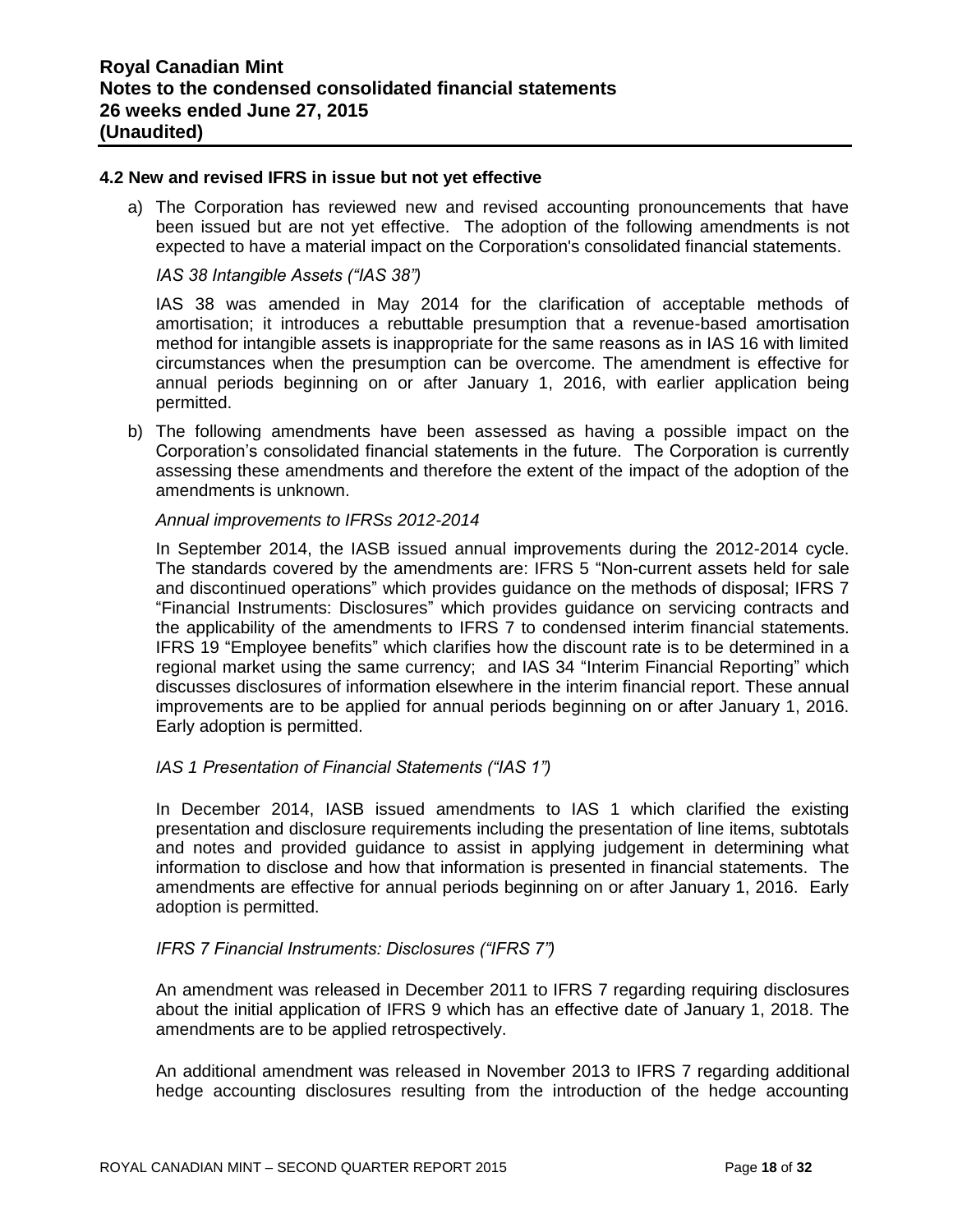#### **4.2 New and revised IFRS in issue but not yet effective**

a) The Corporation has reviewed new and revised accounting pronouncements that have been issued but are not yet effective. The adoption of the following amendments is not expected to have a material impact on the Corporation's consolidated financial statements.

#### *IAS 38 Intangible Assets ("IAS 38")*

IAS 38 was amended in May 2014 for the clarification of acceptable methods of amortisation; it introduces a rebuttable presumption that a revenue-based amortisation method for intangible assets is inappropriate for the same reasons as in IAS 16 with limited circumstances when the presumption can be overcome. The amendment is effective for annual periods beginning on or after January 1, 2016, with earlier application being permitted.

b) The following amendments have been assessed as having a possible impact on the Corporation's consolidated financial statements in the future. The Corporation is currently assessing these amendments and therefore the extent of the impact of the adoption of the amendments is unknown.

#### *Annual improvements to IFRSs 2012-2014*

In September 2014, the IASB issued annual improvements during the 2012-2014 cycle. The standards covered by the amendments are: IFRS 5 "Non-current assets held for sale and discontinued operations" which provides guidance on the methods of disposal; IFRS 7 "Financial Instruments: Disclosures" which provides guidance on servicing contracts and the applicability of the amendments to IFRS 7 to condensed interim financial statements. IFRS 19 "Employee benefits" which clarifies how the discount rate is to be determined in a regional market using the same currency; and IAS 34 "Interim Financial Reporting" which discusses disclosures of information elsewhere in the interim financial report. These annual improvements are to be applied for annual periods beginning on or after January 1, 2016. Early adoption is permitted.

#### *IAS 1 Presentation of Financial Statements ("IAS 1")*

In December 2014, IASB issued amendments to IAS 1 which clarified the existing presentation and disclosure requirements including the presentation of line items, subtotals and notes and provided guidance to assist in applying judgement in determining what information to disclose and how that information is presented in financial statements. The amendments are effective for annual periods beginning on or after January 1, 2016. Early adoption is permitted.

#### *IFRS 7 Financial Instruments: Disclosures ("IFRS 7")*

An amendment was released in December 2011 to IFRS 7 regarding requiring disclosures about the initial application of IFRS 9 which has an effective date of January 1, 2018. The amendments are to be applied retrospectively.

An additional amendment was released in November 2013 to IFRS 7 regarding additional hedge accounting disclosures resulting from the introduction of the hedge accounting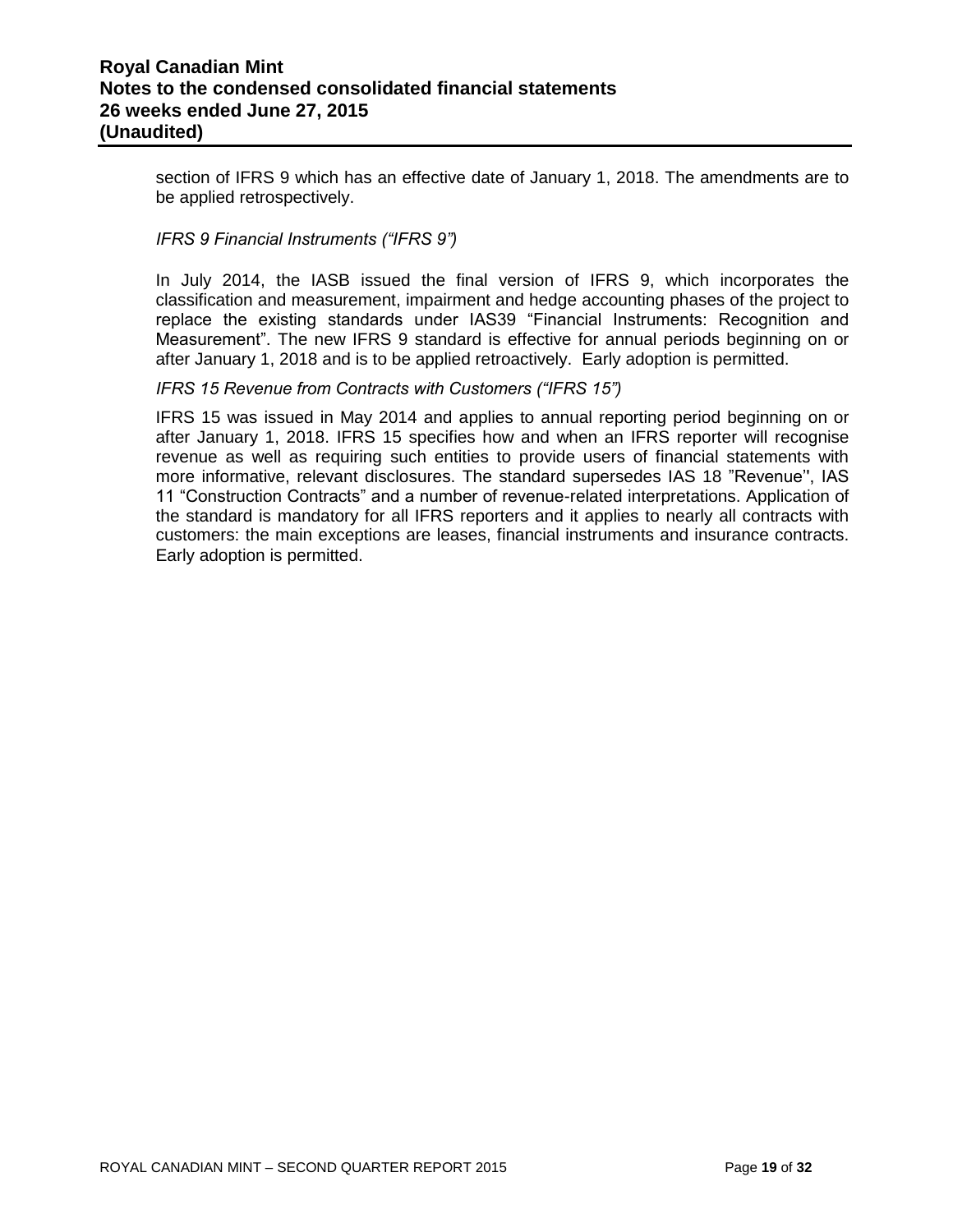section of IFRS 9 which has an effective date of January 1, 2018. The amendments are to be applied retrospectively.

#### *IFRS 9 Financial Instruments ("IFRS 9")*

In July 2014, the IASB issued the final version of IFRS 9, which incorporates the classification and measurement, impairment and hedge accounting phases of the project to replace the existing standards under IAS39 "Financial Instruments: Recognition and Measurement". The new IFRS 9 standard is effective for annual periods beginning on or after January 1, 2018 and is to be applied retroactively. Early adoption is permitted.

#### *IFRS 15 Revenue from Contracts with Customers ("IFRS 15")*

IFRS 15 was issued in May 2014 and applies to annual reporting period beginning on or after January 1, 2018. IFRS 15 specifies how and when an IFRS reporter will recognise revenue as well as requiring such entities to provide users of financial statements with more informative, relevant disclosures. The standard supersedes IAS 18 "Revenue'', IAS 11 "Construction Contracts" and a number of revenue-related interpretations. Application of the standard is mandatory for all IFRS reporters and it applies to nearly all contracts with customers: the main exceptions are leases, financial instruments and insurance contracts. Early adoption is permitted.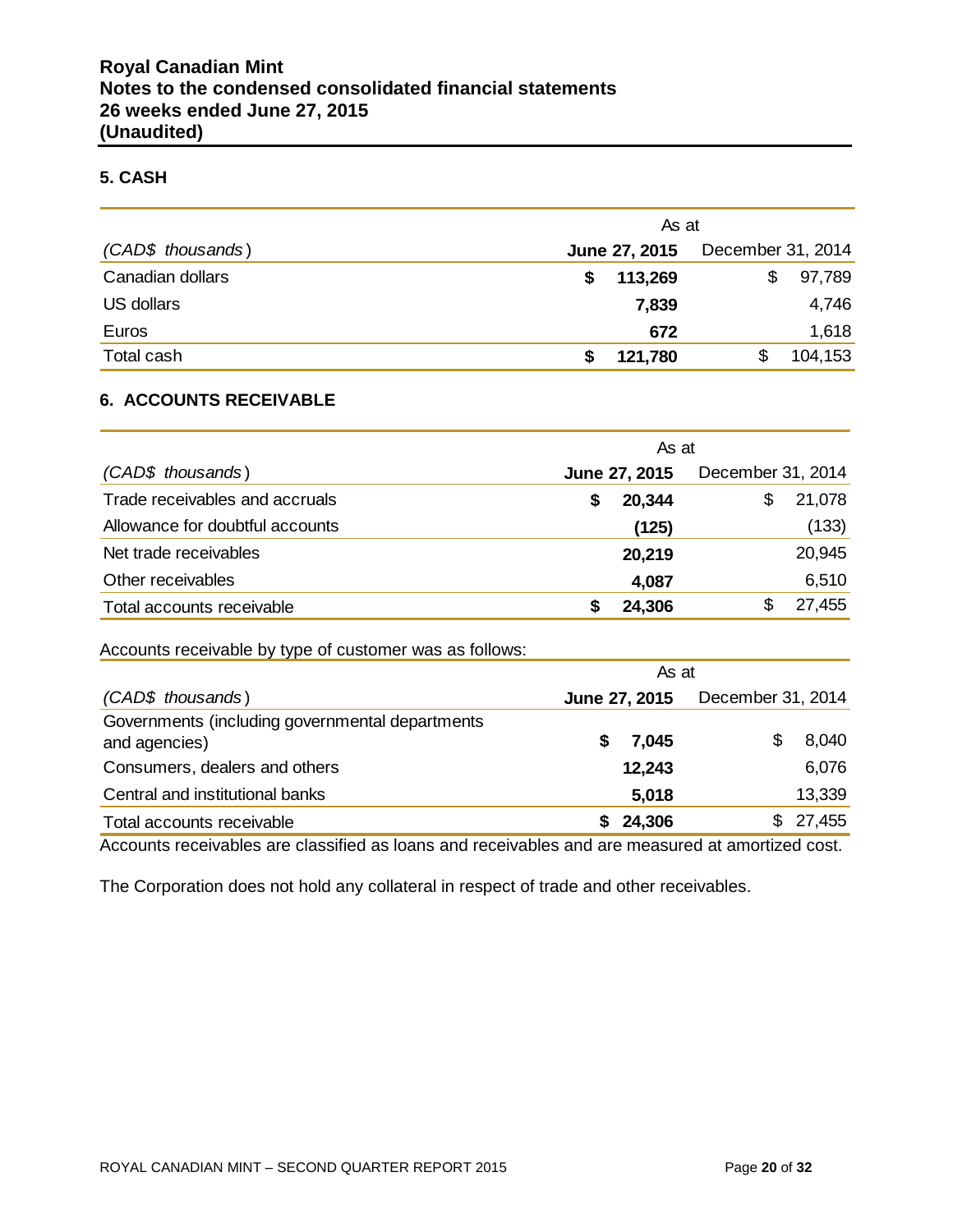#### **5. CASH**

|                   | As at         |                   |
|-------------------|---------------|-------------------|
| (CAD\$ thousands) | June 27, 2015 | December 31, 2014 |
| Canadian dollars  | 113,269<br>S  | 97,789<br>\$      |
| US dollars        | 7,839         | 4,746             |
| Euros             | 672           | 1,618             |
| Total cash        | 121,780<br>S  | 104,153           |

#### **6. ACCOUNTS RECEIVABLE**

|                                 | As at         |                   |
|---------------------------------|---------------|-------------------|
| (CAD\$ thousands)               | June 27, 2015 | December 31, 2014 |
| Trade receivables and accruals  | 20,344<br>S   | 21,078<br>S       |
| Allowance for doubtful accounts | (125)         | (133)             |
| Net trade receivables           | 20,219        | 20,945            |
| Other receivables               | 4,087         | 6,510             |
| Total accounts receivable       | 24,306        | 27,455            |

Accounts receivable by type of customer was as follows:

|                                                                  | As at         |                   |  |  |  |  |
|------------------------------------------------------------------|---------------|-------------------|--|--|--|--|
| (CAD\$ thousands)                                                | June 27, 2015 | December 31, 2014 |  |  |  |  |
| Governments (including governmental departments<br>and agencies) | 7,045<br>S    | 8,040             |  |  |  |  |
| Consumers, dealers and others                                    | 12,243        | 6,076             |  |  |  |  |
| Central and institutional banks                                  | 5,018         | 13,339            |  |  |  |  |
| Total accounts receivable                                        | 24,306        | 27,455<br>SS.     |  |  |  |  |

Accounts receivables are classified as loans and receivables and are measured at amortized cost.

The Corporation does not hold any collateral in respect of trade and other receivables.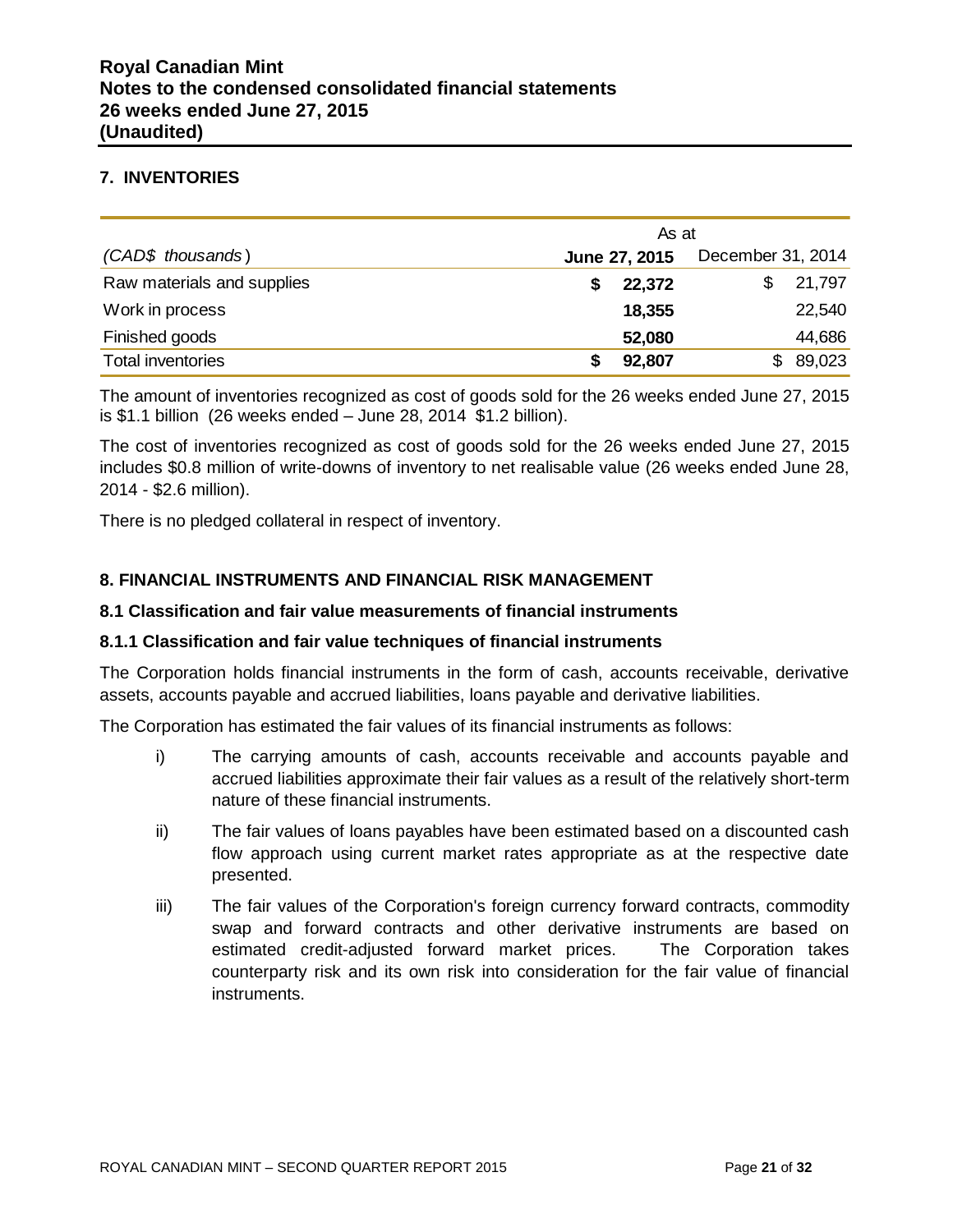#### **7. INVENTORIES**

|                            | As at         |                   |
|----------------------------|---------------|-------------------|
| (CAD\$ thousands)          | June 27, 2015 | December 31, 2014 |
| Raw materials and supplies | 22,372        | 21,797            |
| Work in process            | 18,355        | 22,540            |
| Finished goods             | 52,080        | 44,686            |
| <b>Total inventories</b>   | 92,807        | 89,023<br>S.      |

The amount of inventories recognized as cost of goods sold for the 26 weeks ended June 27, 2015 is \$1.1 billion (26 weeks ended – June 28, 2014 \$1.2 billion).

The cost of inventories recognized as cost of goods sold for the 26 weeks ended June 27, 2015 includes \$0.8 million of write-downs of inventory to net realisable value (26 weeks ended June 28, 2014 - \$2.6 million).

There is no pledged collateral in respect of inventory.

## **8. FINANCIAL INSTRUMENTS AND FINANCIAL RISK MANAGEMENT**

#### **8.1 Classification and fair value measurements of financial instruments**

#### **8.1.1 Classification and fair value techniques of financial instruments**

The Corporation holds financial instruments in the form of cash, accounts receivable, derivative assets, accounts payable and accrued liabilities, loans payable and derivative liabilities.

The Corporation has estimated the fair values of its financial instruments as follows:

- i) The carrying amounts of cash, accounts receivable and accounts payable and accrued liabilities approximate their fair values as a result of the relatively short-term nature of these financial instruments.
- ii) The fair values of loans payables have been estimated based on a discounted cash flow approach using current market rates appropriate as at the respective date presented.
- iii) The fair values of the Corporation's foreign currency forward contracts, commodity swap and forward contracts and other derivative instruments are based on estimated credit-adjusted forward market prices. The Corporation takes counterparty risk and its own risk into consideration for the fair value of financial instruments.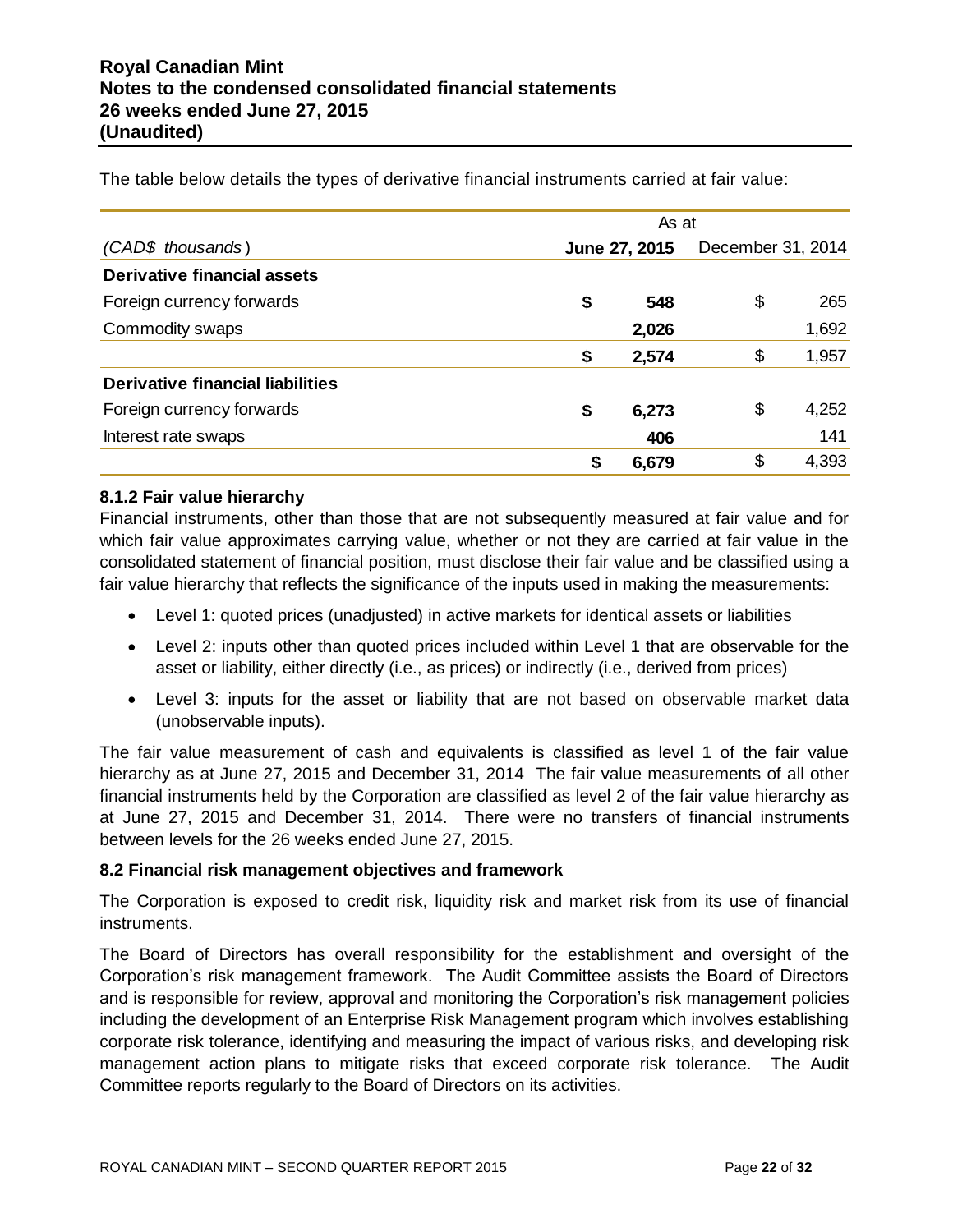*(CAD\$ thousands* ) **June 27, 2015** December 31, 2014 **Derivative financial assets** Foreign currency forwards **by the contract of the S** 548 \$ 265 Commodity swaps **2,026** 1,692 **\$ 2,574** \$ 1,957 **Derivative financial liabilities** Foreign currency forwards **by a struck of the struck of the struck of the struck of the struck of the struck of the struck of the struck of the struck of the struck of the struck of the struck of the struck of the struck o** Interest rate swaps **406** 141 **\$ 6,679** \$ 4,393 As at

The table below details the types of derivative financial instruments carried at fair value:

#### **8.1.2 Fair value hierarchy**

Financial instruments, other than those that are not subsequently measured at fair value and for which fair value approximates carrying value, whether or not they are carried at fair value in the consolidated statement of financial position, must disclose their fair value and be classified using a fair value hierarchy that reflects the significance of the inputs used in making the measurements:

- Level 1: quoted prices (unadjusted) in active markets for identical assets or liabilities
- Level 2: inputs other than quoted prices included within Level 1 that are observable for the asset or liability, either directly (i.e., as prices) or indirectly (i.e., derived from prices)
- Level 3: inputs for the asset or liability that are not based on observable market data (unobservable inputs).

The fair value measurement of cash and equivalents is classified as level 1 of the fair value hierarchy as at June 27, 2015 and December 31, 2014 The fair value measurements of all other financial instruments held by the Corporation are classified as level 2 of the fair value hierarchy as at June 27, 2015 and December 31, 2014. There were no transfers of financial instruments between levels for the 26 weeks ended June 27, 2015.

#### **8.2 Financial risk management objectives and framework**

The Corporation is exposed to credit risk, liquidity risk and market risk from its use of financial instruments.

The Board of Directors has overall responsibility for the establishment and oversight of the Corporation's risk management framework. The Audit Committee assists the Board of Directors and is responsible for review, approval and monitoring the Corporation's risk management policies including the development of an Enterprise Risk Management program which involves establishing corporate risk tolerance, identifying and measuring the impact of various risks, and developing risk management action plans to mitigate risks that exceed corporate risk tolerance. The Audit Committee reports regularly to the Board of Directors on its activities.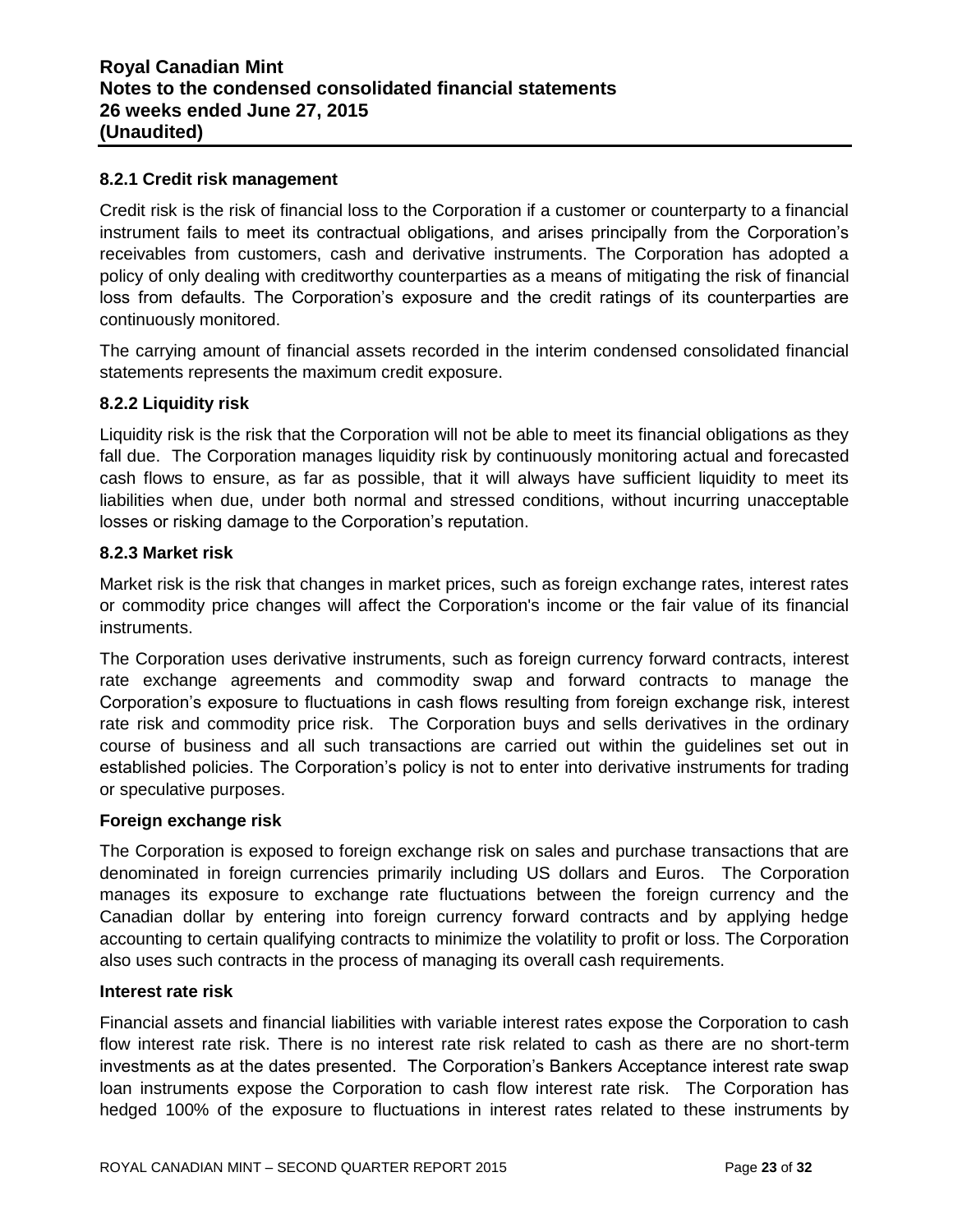#### **8.2.1 Credit risk management**

Credit risk is the risk of financial loss to the Corporation if a customer or counterparty to a financial instrument fails to meet its contractual obligations, and arises principally from the Corporation's receivables from customers, cash and derivative instruments. The Corporation has adopted a policy of only dealing with creditworthy counterparties as a means of mitigating the risk of financial loss from defaults. The Corporation's exposure and the credit ratings of its counterparties are continuously monitored.

The carrying amount of financial assets recorded in the interim condensed consolidated financial statements represents the maximum credit exposure.

#### **8.2.2 Liquidity risk**

Liquidity risk is the risk that the Corporation will not be able to meet its financial obligations as they fall due. The Corporation manages liquidity risk by continuously monitoring actual and forecasted cash flows to ensure, as far as possible, that it will always have sufficient liquidity to meet its liabilities when due, under both normal and stressed conditions, without incurring unacceptable losses or risking damage to the Corporation's reputation.

#### **8.2.3 Market risk**

Market risk is the risk that changes in market prices, such as foreign exchange rates, interest rates or commodity price changes will affect the Corporation's income or the fair value of its financial instruments.

The Corporation uses derivative instruments, such as foreign currency forward contracts, interest rate exchange agreements and commodity swap and forward contracts to manage the Corporation's exposure to fluctuations in cash flows resulting from foreign exchange risk, interest rate risk and commodity price risk. The Corporation buys and sells derivatives in the ordinary course of business and all such transactions are carried out within the guidelines set out in established policies. The Corporation's policy is not to enter into derivative instruments for trading or speculative purposes.

#### **Foreign exchange risk**

The Corporation is exposed to foreign exchange risk on sales and purchase transactions that are denominated in foreign currencies primarily including US dollars and Euros. The Corporation manages its exposure to exchange rate fluctuations between the foreign currency and the Canadian dollar by entering into foreign currency forward contracts and by applying hedge accounting to certain qualifying contracts to minimize the volatility to profit or loss. The Corporation also uses such contracts in the process of managing its overall cash requirements.

#### **Interest rate risk**

Financial assets and financial liabilities with variable interest rates expose the Corporation to cash flow interest rate risk. There is no interest rate risk related to cash as there are no short-term investments as at the dates presented. The Corporation's Bankers Acceptance interest rate swap loan instruments expose the Corporation to cash flow interest rate risk. The Corporation has hedged 100% of the exposure to fluctuations in interest rates related to these instruments by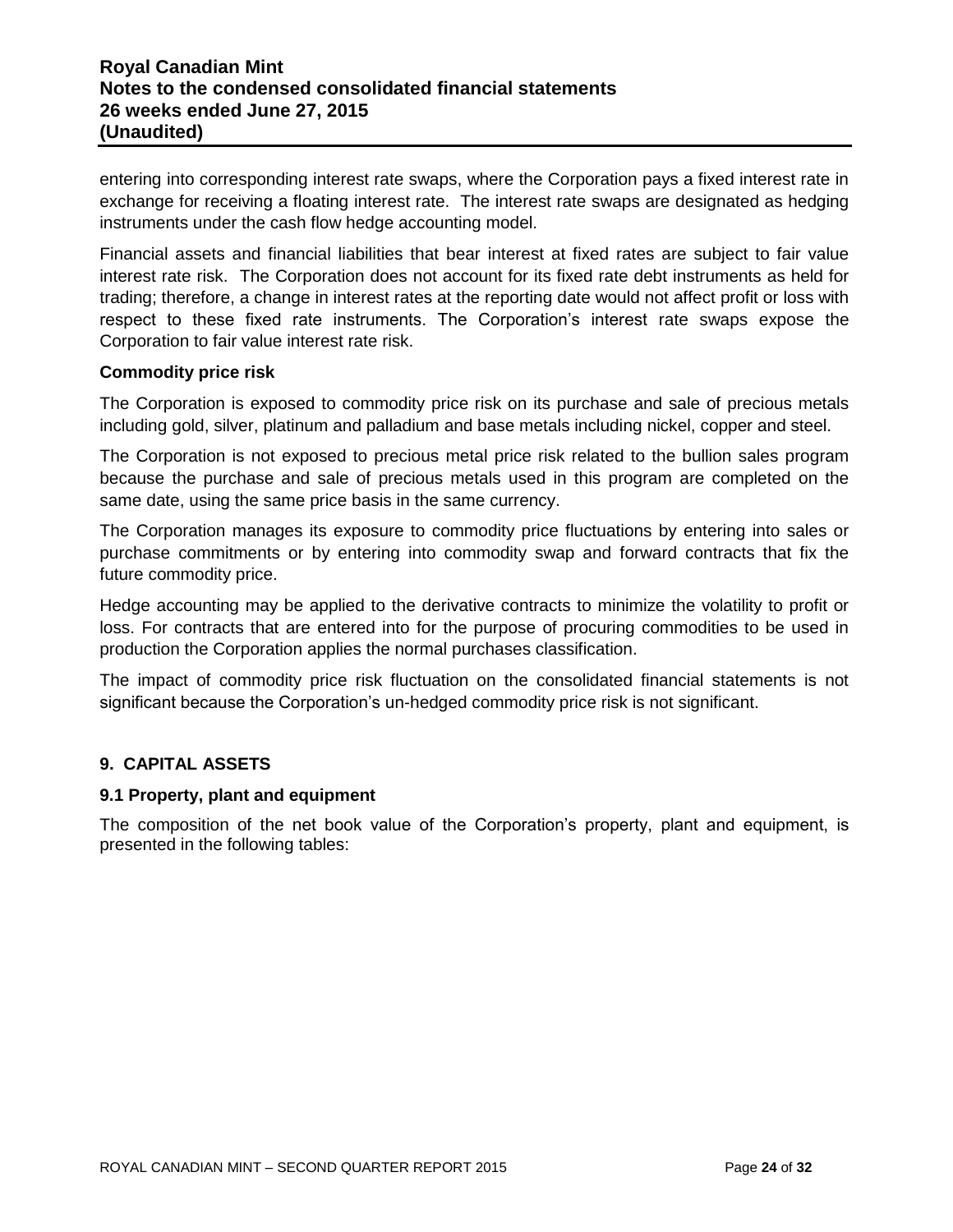entering into corresponding interest rate swaps, where the Corporation pays a fixed interest rate in exchange for receiving a floating interest rate. The interest rate swaps are designated as hedging instruments under the cash flow hedge accounting model.

Financial assets and financial liabilities that bear interest at fixed rates are subject to fair value interest rate risk. The Corporation does not account for its fixed rate debt instruments as held for trading; therefore, a change in interest rates at the reporting date would not affect profit or loss with respect to these fixed rate instruments. The Corporation's interest rate swaps expose the Corporation to fair value interest rate risk.

#### **Commodity price risk**

The Corporation is exposed to commodity price risk on its purchase and sale of precious metals including gold, silver, platinum and palladium and base metals including nickel, copper and steel.

The Corporation is not exposed to precious metal price risk related to the bullion sales program because the purchase and sale of precious metals used in this program are completed on the same date, using the same price basis in the same currency.

The Corporation manages its exposure to commodity price fluctuations by entering into sales or purchase commitments or by entering into commodity swap and forward contracts that fix the future commodity price.

Hedge accounting may be applied to the derivative contracts to minimize the volatility to profit or loss. For contracts that are entered into for the purpose of procuring commodities to be used in production the Corporation applies the normal purchases classification.

The impact of commodity price risk fluctuation on the consolidated financial statements is not significant because the Corporation's un-hedged commodity price risk is not significant.

## **9. CAPITAL ASSETS**

## **9.1 Property, plant and equipment**

The composition of the net book value of the Corporation's property, plant and equipment, is presented in the following tables: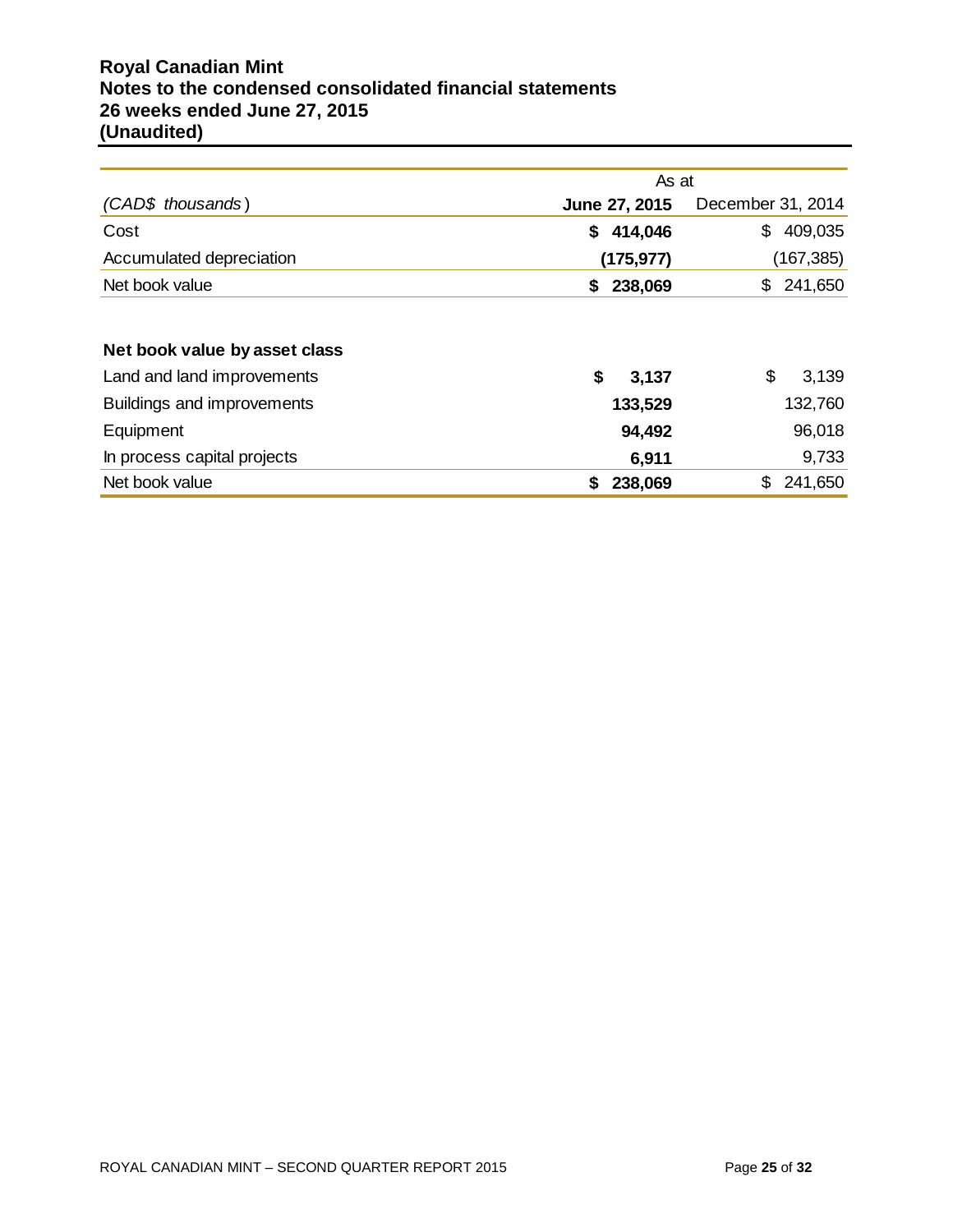# **Royal Canadian Mint Notes to the condensed consolidated financial statements 26 weeks ended June 27, 2015 (Unaudited)**

|                               | As at         |                   |
|-------------------------------|---------------|-------------------|
| (CAD\$ thousands)             | June 27, 2015 | December 31, 2014 |
| Cost                          | 414,046<br>\$ | 409,035<br>\$     |
| Accumulated depreciation      | (175, 977)    | (167, 385)        |
| Net book value                | 238,069<br>\$ | 241,650<br>\$     |
|                               |               |                   |
| Net book value by asset class |               |                   |
| Land and land improvements    | \$<br>3,137   | \$<br>3,139       |
| Buildings and improvements    | 133,529       | 132,760           |
| Equipment                     | 94,492        | 96,018            |
| In process capital projects   | 6,911         | 9,733             |
| Net book value                | 238,069<br>S  | \$<br>241,650     |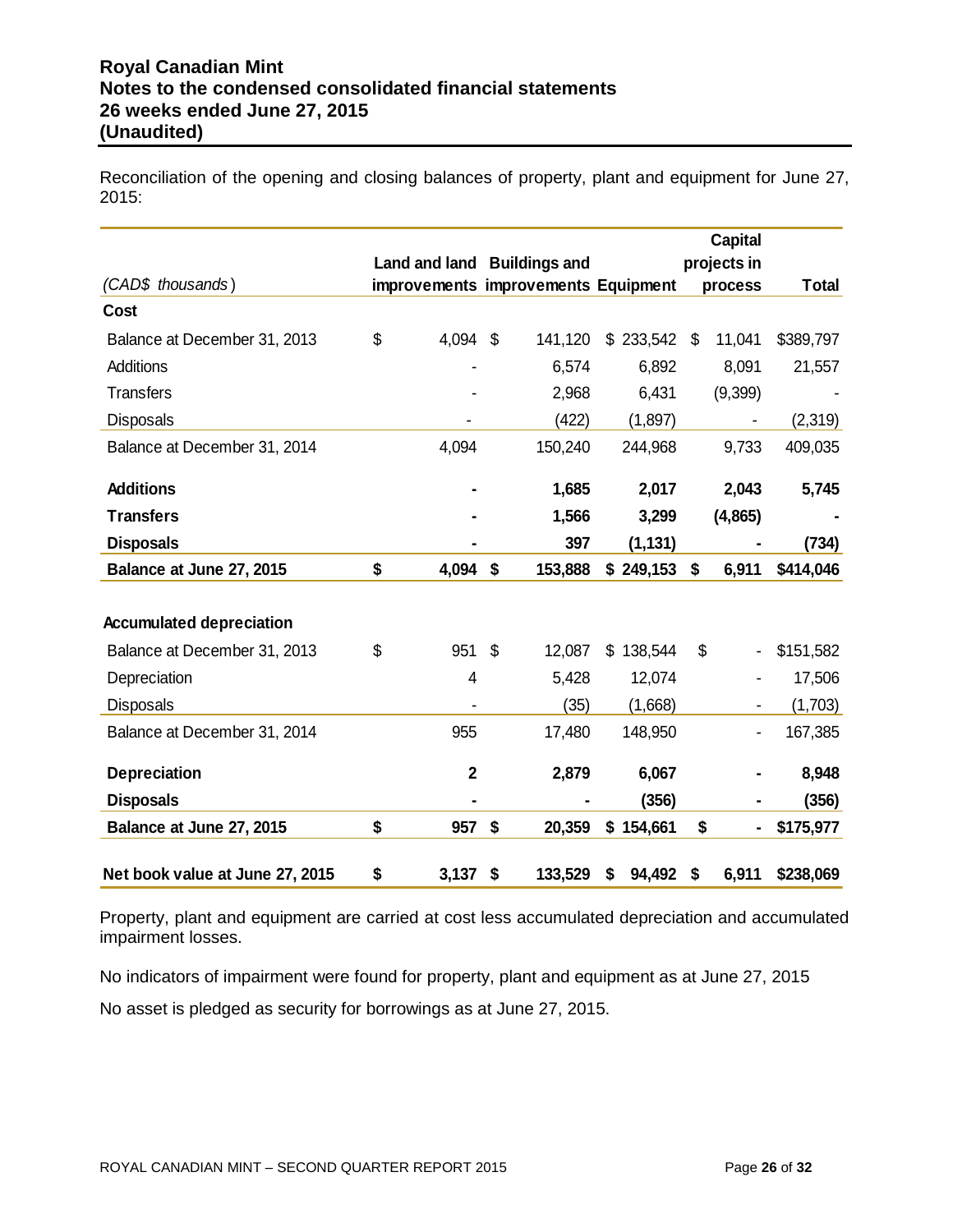Reconciliation of the opening and closing balances of property, plant and equipment for June 27, 2015:

|                                 |                             |               |                                     |               | <b>Capital</b>         |              |
|---------------------------------|-----------------------------|---------------|-------------------------------------|---------------|------------------------|--------------|
| (CAD\$ thousands)               | Land and land Buildings and |               | improvements improvements Equipment |               | projects in<br>process | <b>Total</b> |
| Cost                            |                             |               |                                     |               |                        |              |
| Balance at December 31, 2013    | \$<br>4,094                 | \$            | 141,120                             | \$233,542     | \$<br>11,041           | \$389,797    |
| <b>Additions</b>                |                             |               | 6,574                               | 6,892         | 8,091                  | 21,557       |
| <b>Transfers</b>                |                             |               | 2,968                               | 6,431         | (9,399)                |              |
| <b>Disposals</b>                |                             |               | (422)                               | (1,897)       |                        | (2,319)      |
| Balance at December 31, 2014    | 4,094                       |               | 150,240                             | 244,968       | 9,733                  | 409,035      |
| <b>Additions</b>                |                             |               | 1,685                               | 2,017         | 2,043                  | 5,745        |
| <b>Transfers</b>                |                             |               | 1,566                               | 3,299         | (4,865)                |              |
| <b>Disposals</b>                |                             |               | 397                                 | (1, 131)      |                        | (734)        |
| Balance at June 27, 2015        | \$<br>4,094                 | \$            | 153,888                             | \$249,153     | \$<br>6,911            | \$414,046    |
|                                 |                             |               |                                     |               |                        |              |
| <b>Accumulated depreciation</b> |                             |               |                                     |               |                        |              |
| Balance at December 31, 2013    | \$<br>951                   | $\mathcal{L}$ | 12,087                              | \$<br>138,544 | \$                     | \$151,582    |
| Depreciation                    | 4                           |               | 5,428                               | 12,074        |                        | 17,506       |
| <b>Disposals</b>                |                             |               | (35)                                | (1,668)       |                        | (1,703)      |
| Balance at December 31, 2014    | 955                         |               | 17,480                              | 148,950       |                        | 167,385      |
| <b>Depreciation</b>             | $\mathbf{2}$                |               | 2,879                               | 6,067         |                        | 8,948        |
| <b>Disposals</b>                |                             |               |                                     | (356)         |                        | (356)        |
| Balance at June 27, 2015        | \$<br>957                   | \$            | 20,359                              | \$154,661     | \$                     | \$175,977    |
| Net book value at June 27, 2015 | \$<br>3,137                 | \$            | 133,529                             | \$<br>94,492  | \$<br>6,911            | \$238,069    |

Property, plant and equipment are carried at cost less accumulated depreciation and accumulated impairment losses.

No indicators of impairment were found for property, plant and equipment as at June 27, 2015

No asset is pledged as security for borrowings as at June 27, 2015.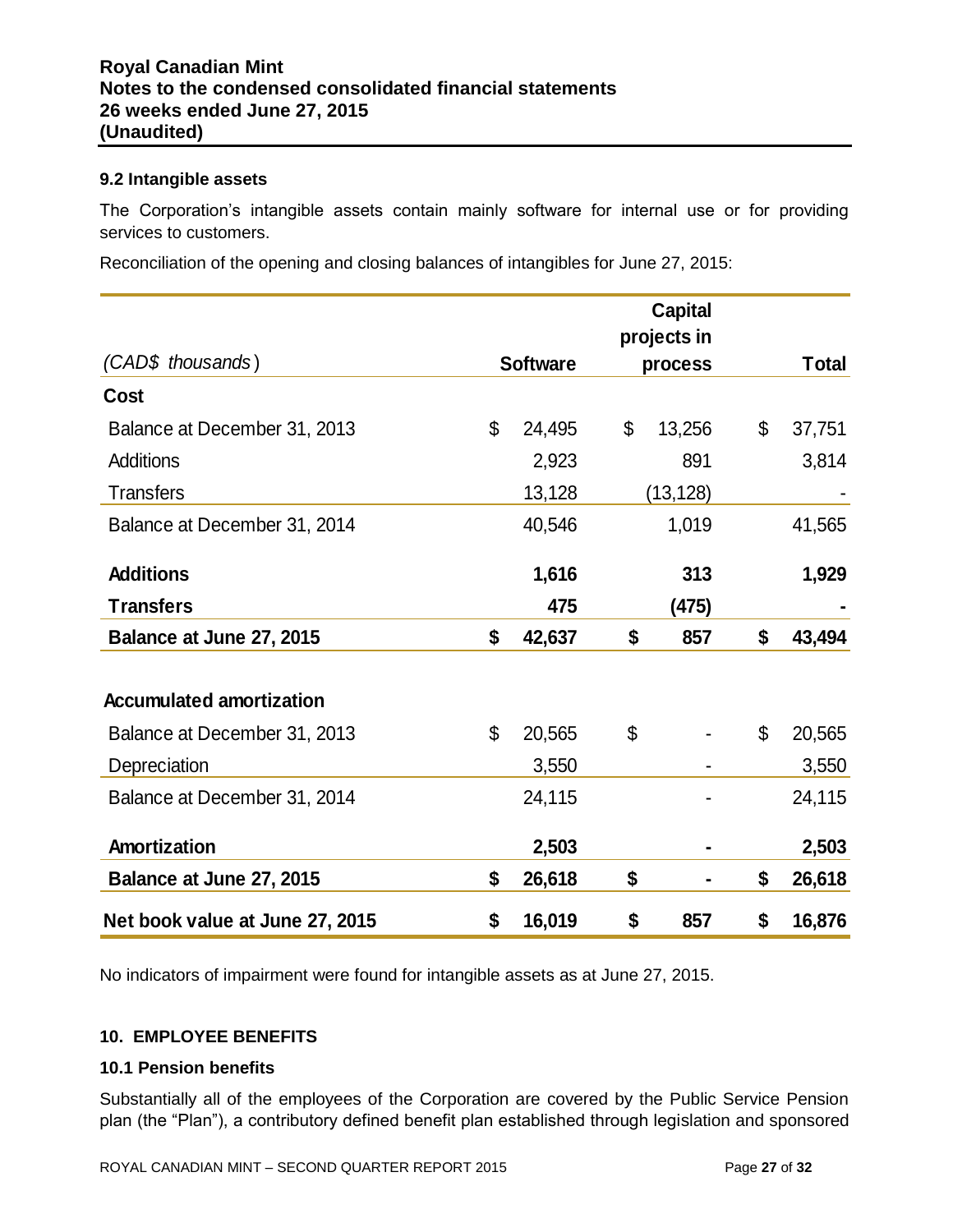#### **9.2 Intangible assets**

The Corporation's intangible assets contain mainly software for internal use or for providing services to customers.

Reconciliation of the opening and closing balances of intangibles for June 27, 2015:

|                                 |                 | <b>Capital</b><br>projects in |                |              |
|---------------------------------|-----------------|-------------------------------|----------------|--------------|
| (CAD\$ thousands)               | <b>Software</b> | process                       |                | <b>Total</b> |
| <b>Cost</b>                     |                 |                               |                |              |
| Balance at December 31, 2013    | \$<br>24,495    | \$<br>13,256                  | \$             | 37,751       |
| Additions                       | 2,923           | 891                           |                | 3,814        |
| <b>Transfers</b>                | 13,128          | (13, 128)                     |                |              |
| Balance at December 31, 2014    | 40,546          | 1,019                         |                | 41,565       |
| <b>Additions</b>                | 1,616           | 313                           |                | 1,929        |
| <b>Transfers</b>                | 475             | (475)                         |                |              |
| Balance at June 27, 2015        | \$<br>42,637    | \$<br>857                     | \$             | 43,494       |
| <b>Accumulated amortization</b> |                 |                               |                |              |
| Balance at December 31, 2013    | \$<br>20,565    | \$                            | $\mathfrak{L}$ | 20,565       |
| Depreciation                    | 3,550           |                               |                | 3,550        |
| Balance at December 31, 2014    | 24,115          |                               |                | 24,115       |
| Amortization                    | 2,503           | $\blacksquare$                |                | 2,503        |
| Balance at June 27, 2015        | \$<br>26,618    | \$                            | \$             | 26,618       |
| Net book value at June 27, 2015 | \$<br>16,019    | \$<br>857                     | \$             | 16,876       |

No indicators of impairment were found for intangible assets as at June 27, 2015.

## **10. EMPLOYEE BENEFITS**

#### **10.1 Pension benefits**

Substantially all of the employees of the Corporation are covered by the Public Service Pension plan (the "Plan"), a contributory defined benefit plan established through legislation and sponsored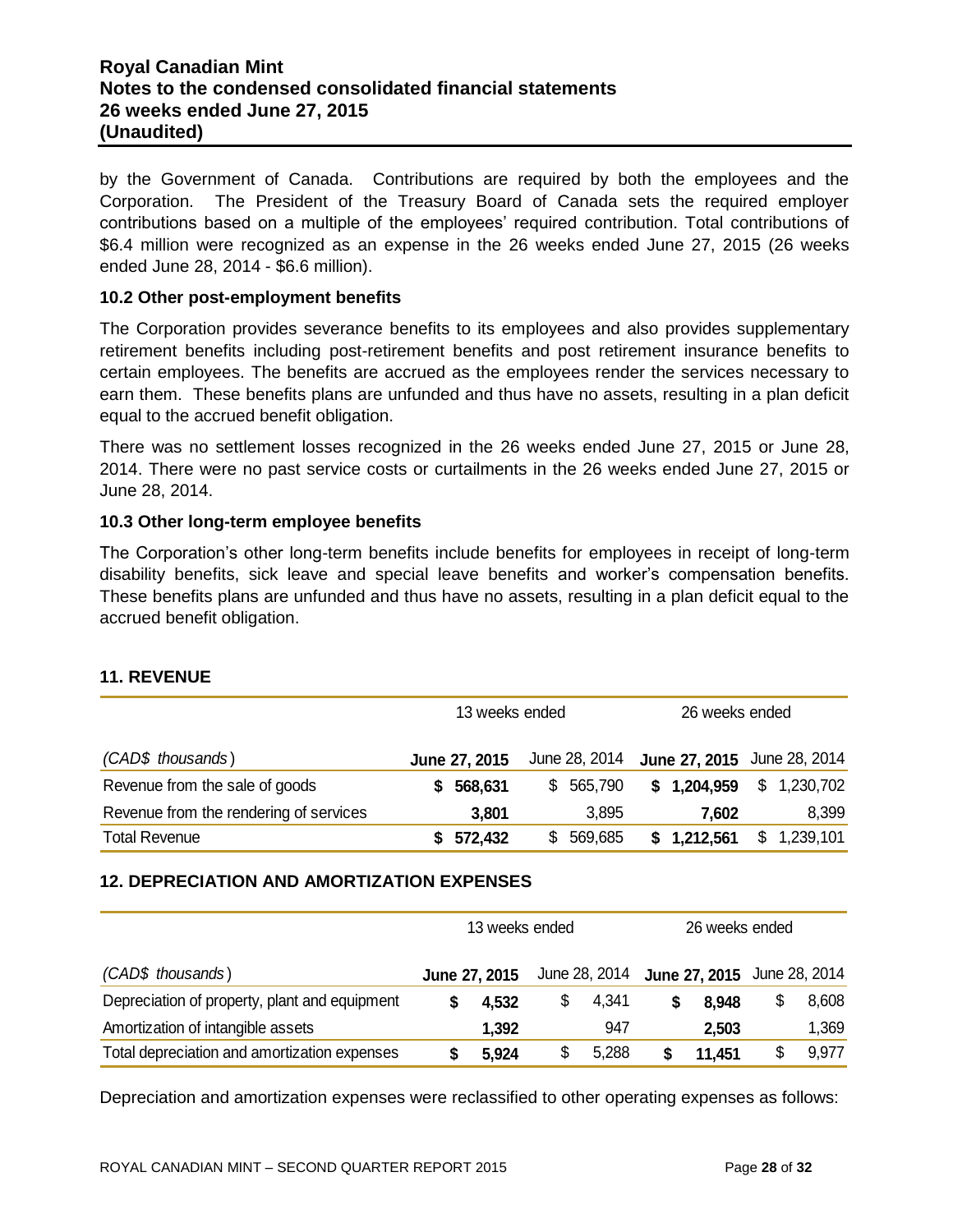# **Royal Canadian Mint Notes to the condensed consolidated financial statements 26 weeks ended June 27, 2015 (Unaudited)**

by the Government of Canada. Contributions are required by both the employees and the Corporation. The President of the Treasury Board of Canada sets the required employer contributions based on a multiple of the employees' required contribution. Total contributions of \$6.4 million were recognized as an expense in the 26 weeks ended June 27, 2015 (26 weeks ended June 28, 2014 - \$6.6 million).

#### **10.2 Other post-employment benefits**

The Corporation provides severance benefits to its employees and also provides supplementary retirement benefits including post-retirement benefits and post retirement insurance benefits to certain employees. The benefits are accrued as the employees render the services necessary to earn them. These benefits plans are unfunded and thus have no assets, resulting in a plan deficit equal to the accrued benefit obligation.

There was no settlement losses recognized in the 26 weeks ended June 27, 2015 or June 28, 2014. There were no past service costs or curtailments in the 26 weeks ended June 27, 2015 or June 28, 2014.

#### **10.3 Other long-term employee benefits**

The Corporation's other long-term benefits include benefits for employees in receipt of long-term disability benefits, sick leave and special leave benefits and worker's compensation benefits. These benefits plans are unfunded and thus have no assets, resulting in a plan deficit equal to the accrued benefit obligation.

|                                        | 13 weeks ended |               |     | 26 weeks ended |  |                             |  |             |
|----------------------------------------|----------------|---------------|-----|----------------|--|-----------------------------|--|-------------|
| (CAD\$ thousands)                      |                | June 27, 2015 |     | June 28, 2014  |  | June 27, 2015 June 28, 2014 |  |             |
| Revenue from the sale of goods         |                | 568,631       |     | \$ 565,790     |  | \$1,204,959                 |  | \$1,230,702 |
| Revenue from the rendering of services |                | 3,801         |     | 3.895          |  | 7.602                       |  | 8,399       |
| <b>Total Revenue</b>                   |                | \$572,432     | SS. | 569,685        |  | \$1,212,561                 |  | \$1,239,101 |

# **11. REVENUE**

## **12. DEPRECIATION AND AMORTIZATION EXPENSES**

|                                               | 13 weeks ended |             | 26 weeks ended |                                           |  |       |  |
|-----------------------------------------------|----------------|-------------|----------------|-------------------------------------------|--|-------|--|
| (CAD\$ thousands)                             | June 27, 2015  |             |                | June 28, 2014 June 27, 2015 June 28, 2014 |  |       |  |
| Depreciation of property, plant and equipment | 4.532          | \$<br>4,341 |                | 8.948                                     |  | 8,608 |  |
| Amortization of intangible assets             | 1,392          | 947         |                | 2,503                                     |  | 1,369 |  |
| Total depreciation and amortization expenses  | 5,924          | \$<br>5,288 |                | 11.451                                    |  | 9,977 |  |

Depreciation and amortization expenses were reclassified to other operating expenses as follows: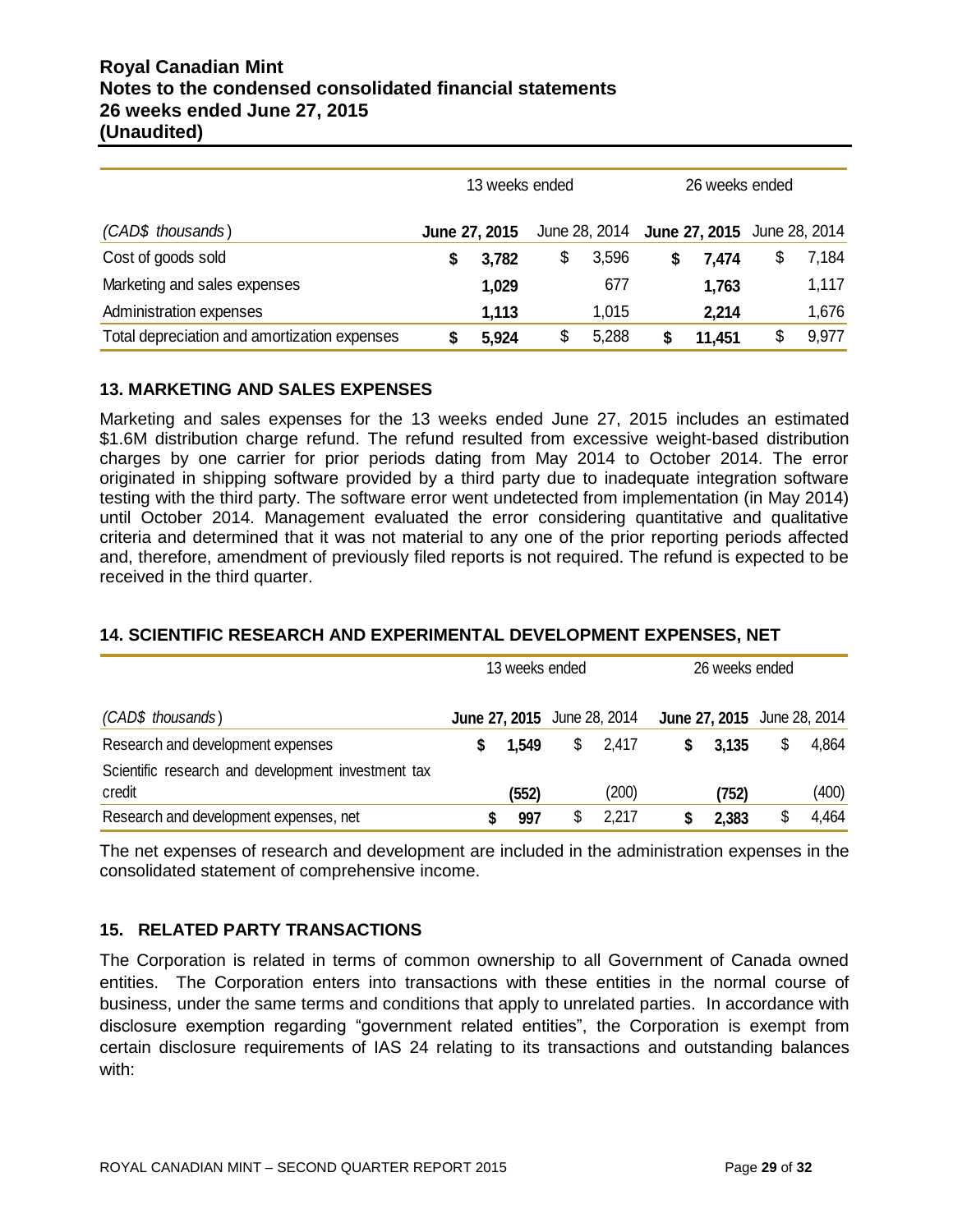# **Royal Canadian Mint Notes to the condensed consolidated financial statements 26 weeks ended June 27, 2015 (Unaudited)**

|                                              | 13 weeks ended | 26 weeks ended |  |                             |    |       |
|----------------------------------------------|----------------|----------------|--|-----------------------------|----|-------|
| (CAD\$ thousands)                            | June 27, 2015  | June 28, 2014  |  | June 27, 2015 June 28, 2014 |    |       |
| Cost of goods sold                           | 3,782          | \$<br>3,596    |  | 7,474                       | \$ | 7,184 |
| Marketing and sales expenses                 | 1,029          | 677            |  | 1,763                       |    | 1,117 |
| Administration expenses                      | 1,113          | 1,015          |  | 2,214                       |    | 1,676 |
| Total depreciation and amortization expenses | 5,924          | \$<br>5,288    |  | 11,451                      | \$ | 9,977 |

# **13. MARKETING AND SALES EXPENSES**

Marketing and sales expenses for the 13 weeks ended June 27, 2015 includes an estimated \$1.6M distribution charge refund. The refund resulted from excessive weight-based distribution charges by one carrier for prior periods dating from May 2014 to October 2014. The error originated in shipping software provided by a third party due to inadequate integration software testing with the third party. The software error went undetected from implementation (in May 2014) until October 2014. Management evaluated the error considering quantitative and qualitative criteria and determined that it was not material to any one of the prior reporting periods affected and, therefore, amendment of previously filed reports is not required. The refund is expected to be received in the third quarter.

# **14. SCIENTIFIC RESEARCH AND EXPERIMENTAL DEVELOPMENT EXPENSES, NET**

|                                                              | 13 weeks ended |                                    | 26 weeks ended                     |             |
|--------------------------------------------------------------|----------------|------------------------------------|------------------------------------|-------------|
| (CAD\$ thousands)                                            |                | <b>June 27, 2015</b> June 28, 2014 | <b>June 27, 2015</b> June 28, 2014 |             |
| Research and development expenses                            | 1.549          | \$<br>2,417                        | 3,135                              | \$<br>4,864 |
| Scientific research and development investment tax<br>credit | (552)          | (200)                              | (752)                              | (400)       |
| Research and development expenses, net                       | 997            | 2,217                              | 2,383                              | \$<br>4,464 |

The net expenses of research and development are included in the administration expenses in the consolidated statement of comprehensive income.

# **15. RELATED PARTY TRANSACTIONS**

The Corporation is related in terms of common ownership to all Government of Canada owned entities. The Corporation enters into transactions with these entities in the normal course of business, under the same terms and conditions that apply to unrelated parties. In accordance with disclosure exemption regarding "government related entities", the Corporation is exempt from certain disclosure requirements of IAS 24 relating to its transactions and outstanding balances with: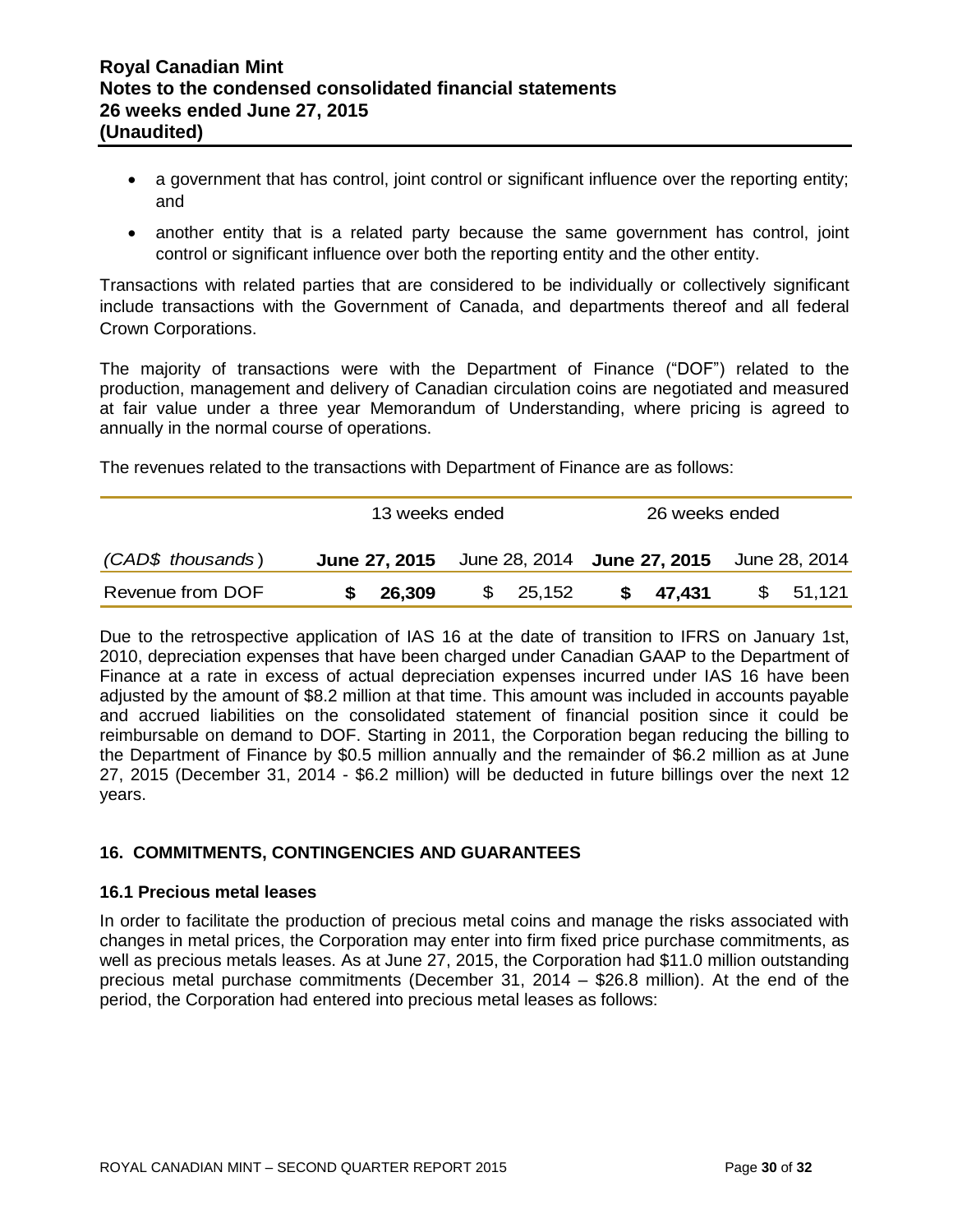- a government that has control, joint control or significant influence over the reporting entity; and
- another entity that is a related party because the same government has control, joint control or significant influence over both the reporting entity and the other entity.

Transactions with related parties that are considered to be individually or collectively significant include transactions with the Government of Canada, and departments thereof and all federal Crown Corporations.

The majority of transactions were with the Department of Finance ("DOF") related to the production, management and delivery of Canadian circulation coins are negotiated and measured at fair value under a three year Memorandum of Understanding, where pricing is agreed to annually in the normal course of operations.

The revenues related to the transactions with Department of Finance are as follows:

|                   | 13 weeks ended                                                        |  |          |  | 26 weeks ended |  |          |  |
|-------------------|-----------------------------------------------------------------------|--|----------|--|----------------|--|----------|--|
| (CAD\$ thousands) | <b>June 27, 2015</b> June 28, 2014 <b>June 27, 2015</b> June 28, 2014 |  |          |  |                |  |          |  |
| Revenue from DOF  | \$26,309                                                              |  | \$25,152 |  | \$47,431       |  | \$51,121 |  |

Due to the retrospective application of IAS 16 at the date of transition to IFRS on January 1st, 2010, depreciation expenses that have been charged under Canadian GAAP to the Department of Finance at a rate in excess of actual depreciation expenses incurred under IAS 16 have been adjusted by the amount of \$8.2 million at that time. This amount was included in accounts payable and accrued liabilities on the consolidated statement of financial position since it could be reimbursable on demand to DOF. Starting in 2011, the Corporation began reducing the billing to the Department of Finance by \$0.5 million annually and the remainder of \$6.2 million as at June 27, 2015 (December 31, 2014 - \$6.2 million) will be deducted in future billings over the next 12 years.

## **16. COMMITMENTS, CONTINGENCIES AND GUARANTEES**

#### **16.1 Precious metal leases**

In order to facilitate the production of precious metal coins and manage the risks associated with changes in metal prices, the Corporation may enter into firm fixed price purchase commitments, as well as precious metals leases. As at June 27, 2015, the Corporation had \$11.0 million outstanding precious metal purchase commitments (December 31, 2014 – \$26.8 million). At the end of the period, the Corporation had entered into precious metal leases as follows: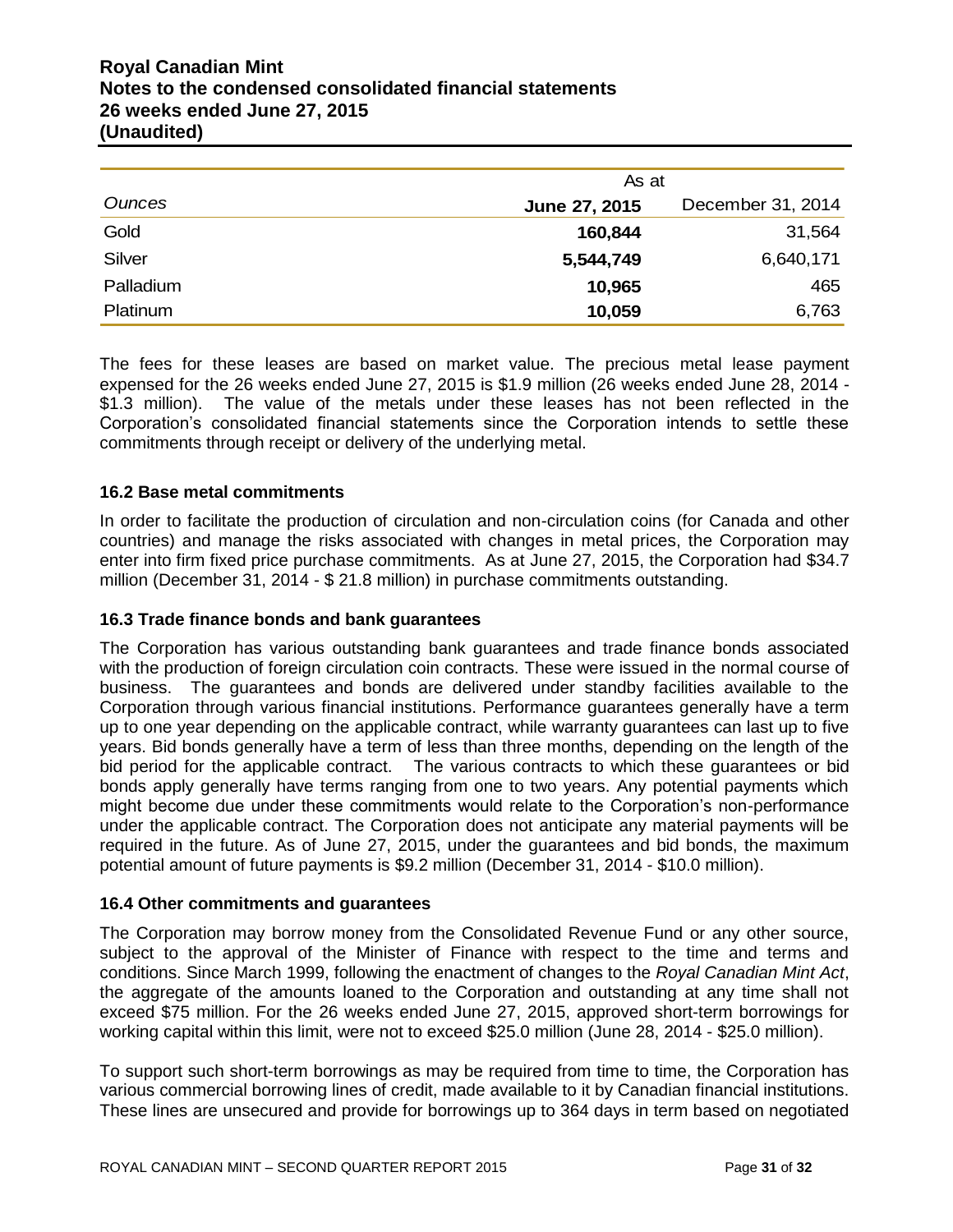# **Royal Canadian Mint Notes to the condensed consolidated financial statements 26 weeks ended June 27, 2015 (Unaudited)**

|           | As at         |                   |
|-----------|---------------|-------------------|
| Ounces    | June 27, 2015 | December 31, 2014 |
| Gold      | 160,844       | 31,564            |
| Silver    | 5,544,749     | 6,640,171         |
| Palladium | 10,965        | 465               |
| Platinum  | 10,059        | 6,763             |

The fees for these leases are based on market value. The precious metal lease payment expensed for the 26 weeks ended June 27, 2015 is \$1.9 million (26 weeks ended June 28, 2014 - \$1.3 million). The value of the metals under these leases has not been reflected in the Corporation's consolidated financial statements since the Corporation intends to settle these commitments through receipt or delivery of the underlying metal.

## **16.2 Base metal commitments**

In order to facilitate the production of circulation and non-circulation coins (for Canada and other countries) and manage the risks associated with changes in metal prices, the Corporation may enter into firm fixed price purchase commitments. As at June 27, 2015, the Corporation had \$34.7 million (December 31, 2014 - \$ 21.8 million) in purchase commitments outstanding.

#### **16.3 Trade finance bonds and bank guarantees**

The Corporation has various outstanding bank guarantees and trade finance bonds associated with the production of foreign circulation coin contracts. These were issued in the normal course of business. The guarantees and bonds are delivered under standby facilities available to the Corporation through various financial institutions. Performance guarantees generally have a term up to one year depending on the applicable contract, while warranty guarantees can last up to five years. Bid bonds generally have a term of less than three months, depending on the length of the bid period for the applicable contract. The various contracts to which these guarantees or bid bonds apply generally have terms ranging from one to two years. Any potential payments which might become due under these commitments would relate to the Corporation's non-performance under the applicable contract. The Corporation does not anticipate any material payments will be required in the future. As of June 27, 2015, under the guarantees and bid bonds, the maximum potential amount of future payments is \$9.2 million (December 31, 2014 - \$10.0 million).

#### **16.4 Other commitments and guarantees**

The Corporation may borrow money from the Consolidated Revenue Fund or any other source, subject to the approval of the Minister of Finance with respect to the time and terms and conditions. Since March 1999, following the enactment of changes to the *Royal Canadian Mint Act*, the aggregate of the amounts loaned to the Corporation and outstanding at any time shall not exceed \$75 million. For the 26 weeks ended June 27, 2015, approved short-term borrowings for working capital within this limit, were not to exceed \$25.0 million (June 28, 2014 - \$25.0 million).

To support such short-term borrowings as may be required from time to time, the Corporation has various commercial borrowing lines of credit, made available to it by Canadian financial institutions. These lines are unsecured and provide for borrowings up to 364 days in term based on negotiated